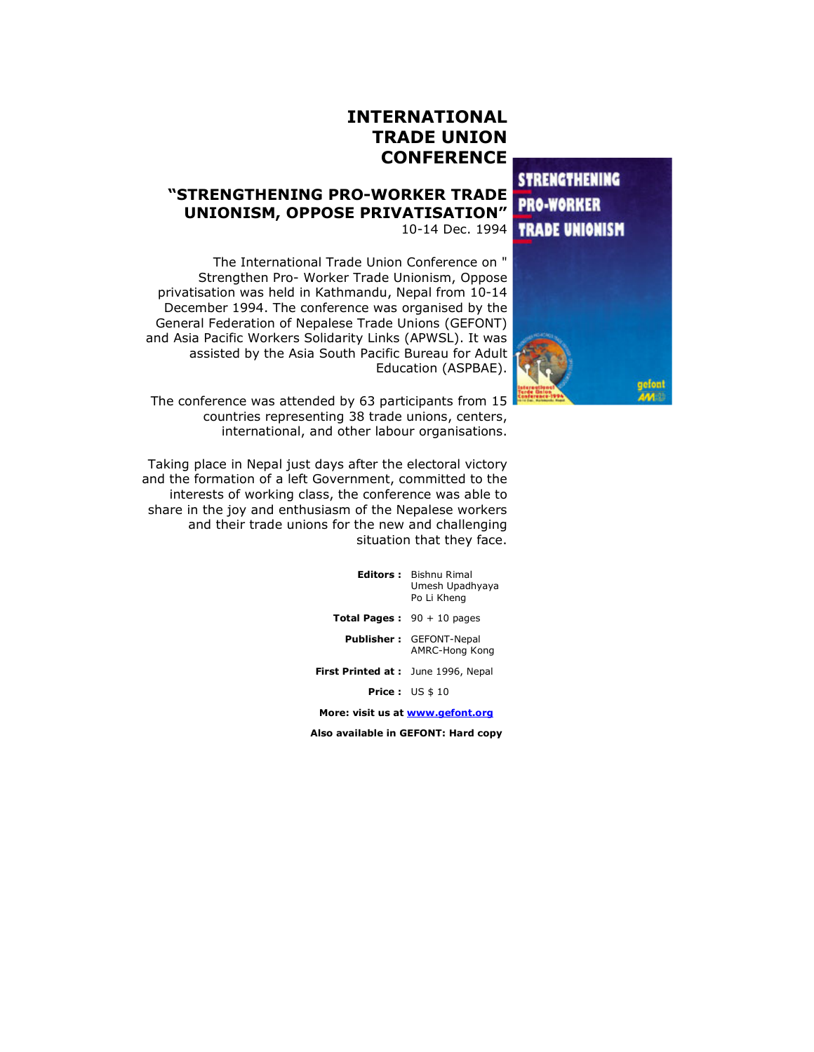## INTERNATIONAL TRADE UNION **CONFERENCE**

**STRENGTHENING PRO-WORKER TRADE UNIONISM** 



# "STRENGTHENING PRO-WORKER TRADE UNIONISM, OPPOSE PRIVATISATION"

10-14 Dec. 1994

The International Trade Union Conference on " Strengthen Pro- Worker Trade Unionism, Oppose privatisation was held in Kathmandu, Nepal from 10-14 December 1994. The conference was organised by the General Federation of Nepalese Trade Unions (GEFONT) and Asia Pacific Workers Solidarity Links (APWSL). It was assisted by the Asia South Pacific Bureau for Adult Education (ASPBAE).

The conference was attended by 63 participants from 15 countries representing 38 trade unions, centers, international, and other labour organisations.

Taking place in Nepal just days after the electoral victory and the formation of a left Government, committed to the interests of working class, the conference was able to share in the joy and enthusiasm of the Nepalese workers and their trade unions for the new and challenging situation that they face.

|                                           | <b>Editors:</b> Bishnu Rimal<br>Umesh Upadhyaya<br>Po Li Kheng |
|-------------------------------------------|----------------------------------------------------------------|
| <b>Total Pages:</b> $90 + 10$ pages       |                                                                |
|                                           | <b>Publisher:</b> GEFONT-Nepal<br>AMRC-Hong Kong               |
| <b>First Printed at:</b> June 1996, Nepal |                                                                |
|                                           | <b>Price:</b> $US $10$                                         |
|                                           |                                                                |

More: visit us at www.gefont.org

Also available in GEFONT: Hard copy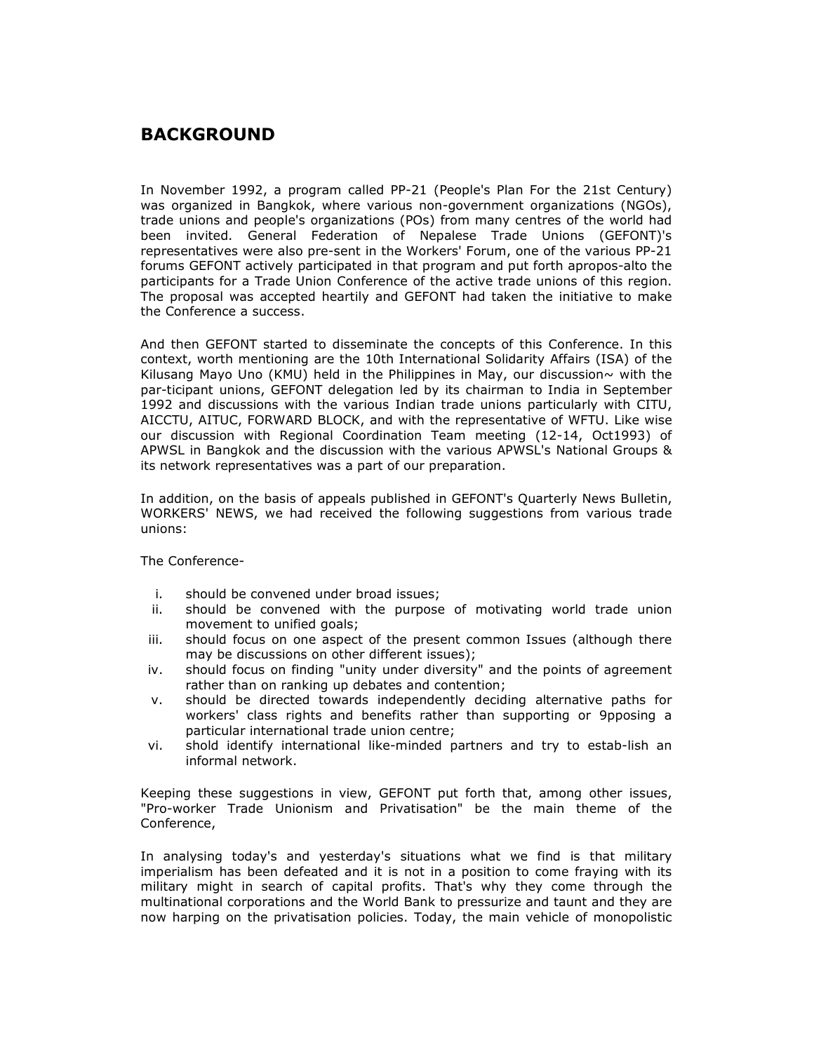## **BACKGROUND**

In November 1992, a program called PP-21 (People's Plan For the 21st Century) was organized in Bangkok, where various non-government organizations (NGOs), trade unions and people's organizations (POs) from many centres of the world had been invited. General Federation of Nepalese Trade Unions (GEFONT)'s representatives were also pre-sent in the Workers' Forum, one of the various PP-21 forums GEFONT actively participated in that program and put forth apropos-alto the participants for a Trade Union Conference of the active trade unions of this region. The proposal was accepted heartily and GEFONT had taken the initiative to make the Conference a success.

And then GEFONT started to disseminate the concepts of this Conference. In this context, worth mentioning are the 10th International Solidarity Affairs (ISA) of the Kilusang Mayo Uno (KMU) held in the Philippines in May, our discussion $\sim$  with the par-ticipant unions, GEFONT delegation led by its chairman to India in September 1992 and discussions with the various Indian trade unions particularly with CITU, AICCTU, AITUC, FORWARD BLOCK, and with the representative of WFTU. Like wise our discussion with Regional Coordination Team meeting (12-14, Oct1993) of APWSL in Bangkok and the discussion with the various APWSL's National Groups & its network representatives was a part of our preparation.

In addition, on the basis of appeals published in GEFONT's Quarterly News Bulletin, WORKERS' NEWS, we had received the following suggestions from various trade unions:

The Conference-

- i. should be convened under broad issues;
- ii. should be convened with the purpose of motivating world trade union movement to unified goals;
- iii. should focus on one aspect of the present common Issues (although there may be discussions on other different issues);
- iv. should focus on finding "unity under diversity" and the points of agreement rather than on ranking up debates and contention;
- v. should be directed towards independently deciding alternative paths for workers' class rights and benefits rather than supporting or 9pposing a particular international trade union centre;
- vi. shold identify international like-minded partners and try to estab-lish an informal network.

Keeping these suggestions in view, GEFONT put forth that, among other issues, "Pro-worker Trade Unionism and Privatisation" be the main theme of the Conference,

In analysing today's and yesterday's situations what we find is that military imperialism has been defeated and it is not in a position to come fraying with its military might in search of capital profits. That's why they come through the multinational corporations and the World Bank to pressurize and taunt and they are now harping on the privatisation policies. Today, the main vehicle of monopolistic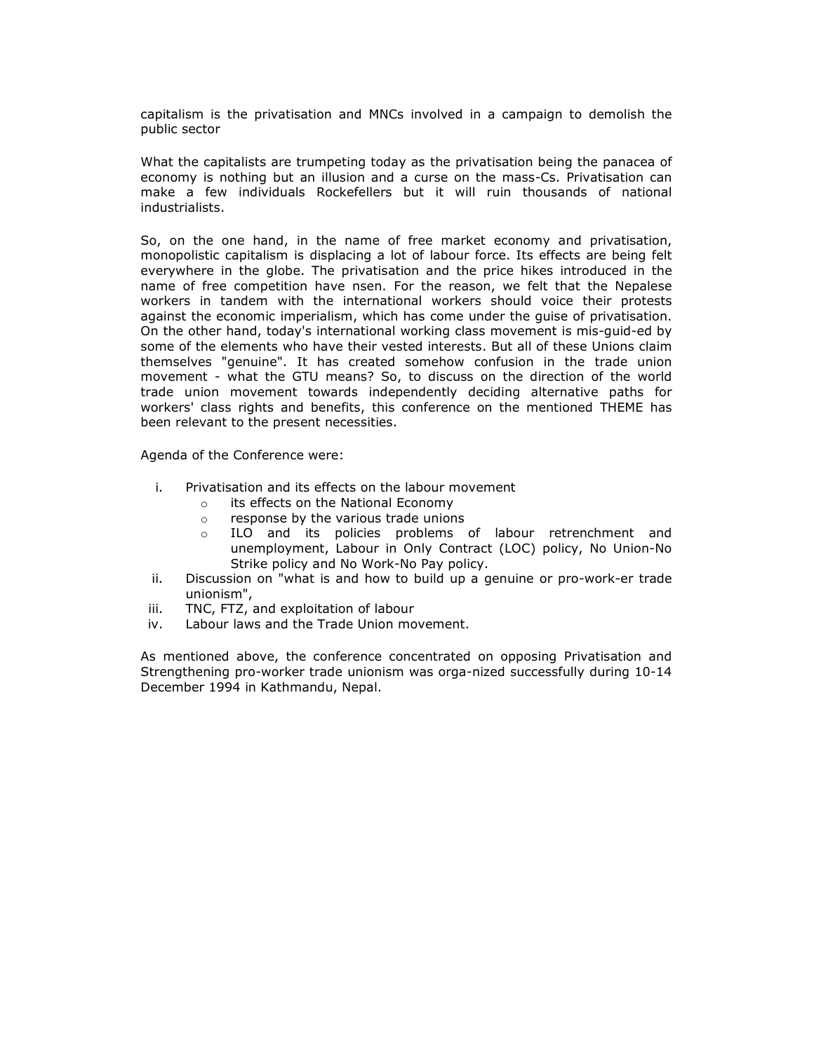capitalism is the privatisation and MNCs involved in a campaign to demolish the public sector

What the capitalists are trumpeting today as the privatisation being the panacea of economy is nothing but an illusion and a curse on the mass-Cs. Privatisation can make a few individuals Rockefellers but it will ruin thousands of national industrialists.

So, on the one hand, in the name of free market economy and privatisation, monopolistic capitalism is displacing a lot of labour force. Its effects are being felt everywhere in the globe. The privatisation and the price hikes introduced in the name of free competition have nsen. For the reason, we felt that the Nepalese workers in tandem with the international workers should voice their protests against the economic imperialism, which has come under the guise of privatisation. On the other hand, today's international working class movement is mis-guid-ed by some of the elements who have their vested interests. But all of these Unions claim themselves "genuine". It has created somehow confusion in the trade union movement - what the GTU means? So, to discuss on the direction of the world trade union movement towards independently deciding alternative paths for workers' class rights and benefits, this conference on the mentioned THEME has been relevant to the present necessities.

Agenda of the Conference were:

- i. Privatisation and its effects on the labour movement
	- o its effects on the National Economy
	- o response by the various trade unions
	- o ILO and its policies problems of labour retrenchment and unemployment, Labour in Only Contract (LOC) policy, No Union-No Strike policy and No Work-No Pay policy.
- ii. Discussion on "what is and how to build up a genuine or pro-work-er trade unionism",
- iii. TNC, FTZ, and exploitation of labour
- iv. Labour laws and the Trade Union movement.

As mentioned above, the conference concentrated on opposing Privatisation and Strengthening pro-worker trade unionism was orga-nized successfully during 10-14 December 1994 in Kathmandu, Nepal.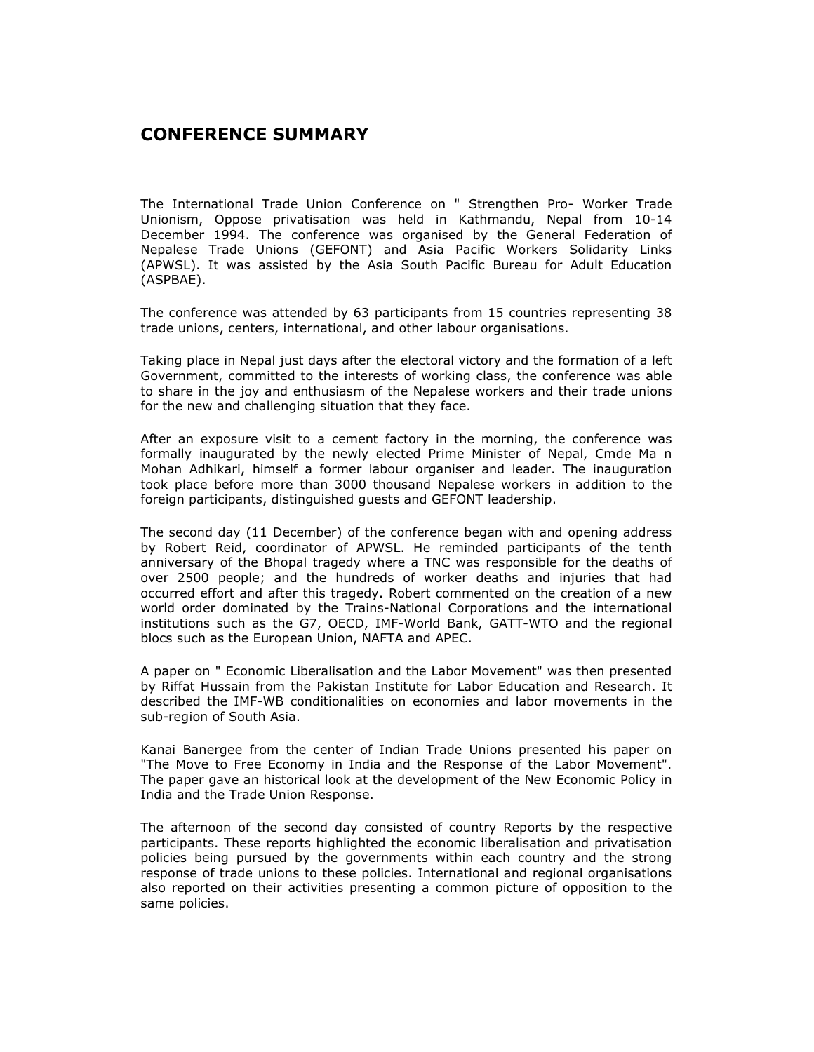## CONFERENCE SUMMARY

The International Trade Union Conference on " Strengthen Pro- Worker Trade Unionism, Oppose privatisation was held in Kathmandu, Nepal from 10-14 December 1994. The conference was organised by the General Federation of Nepalese Trade Unions (GEFONT) and Asia Pacific Workers Solidarity Links (APWSL). It was assisted by the Asia South Pacific Bureau for Adult Education (ASPBAE).

The conference was attended by 63 participants from 15 countries representing 38 trade unions, centers, international, and other labour organisations.

Taking place in Nepal just days after the electoral victory and the formation of a left Government, committed to the interests of working class, the conference was able to share in the joy and enthusiasm of the Nepalese workers and their trade unions for the new and challenging situation that they face.

After an exposure visit to a cement factory in the morning, the conference was formally inaugurated by the newly elected Prime Minister of Nepal, Cmde Ma n Mohan Adhikari, himself a former labour organiser and leader. The inauguration took place before more than 3000 thousand Nepalese workers in addition to the foreign participants, distinguished guests and GEFONT leadership.

The second day (11 December) of the conference began with and opening address by Robert Reid, coordinator of APWSL. He reminded participants of the tenth anniversary of the Bhopal tragedy where a TNC was responsible for the deaths of over 2500 people; and the hundreds of worker deaths and injuries that had occurred effort and after this tragedy. Robert commented on the creation of a new world order dominated by the Trains-National Corporations and the international institutions such as the G7, OECD, IMF-World Bank, GATT-WTO and the regional blocs such as the European Union, NAFTA and APEC.

A paper on " Economic Liberalisation and the Labor Movement" was then presented by Riffat Hussain from the Pakistan Institute for Labor Education and Research. It described the IMF-WB conditionalities on economies and labor movements in the sub-region of South Asia.

Kanai Banergee from the center of Indian Trade Unions presented his paper on "The Move to Free Economy in India and the Response of the Labor Movement". The paper gave an historical look at the development of the New Economic Policy in India and the Trade Union Response.

The afternoon of the second day consisted of country Reports by the respective participants. These reports highlighted the economic liberalisation and privatisation policies being pursued by the governments within each country and the strong response of trade unions to these policies. International and regional organisations also reported on their activities presenting a common picture of opposition to the same policies.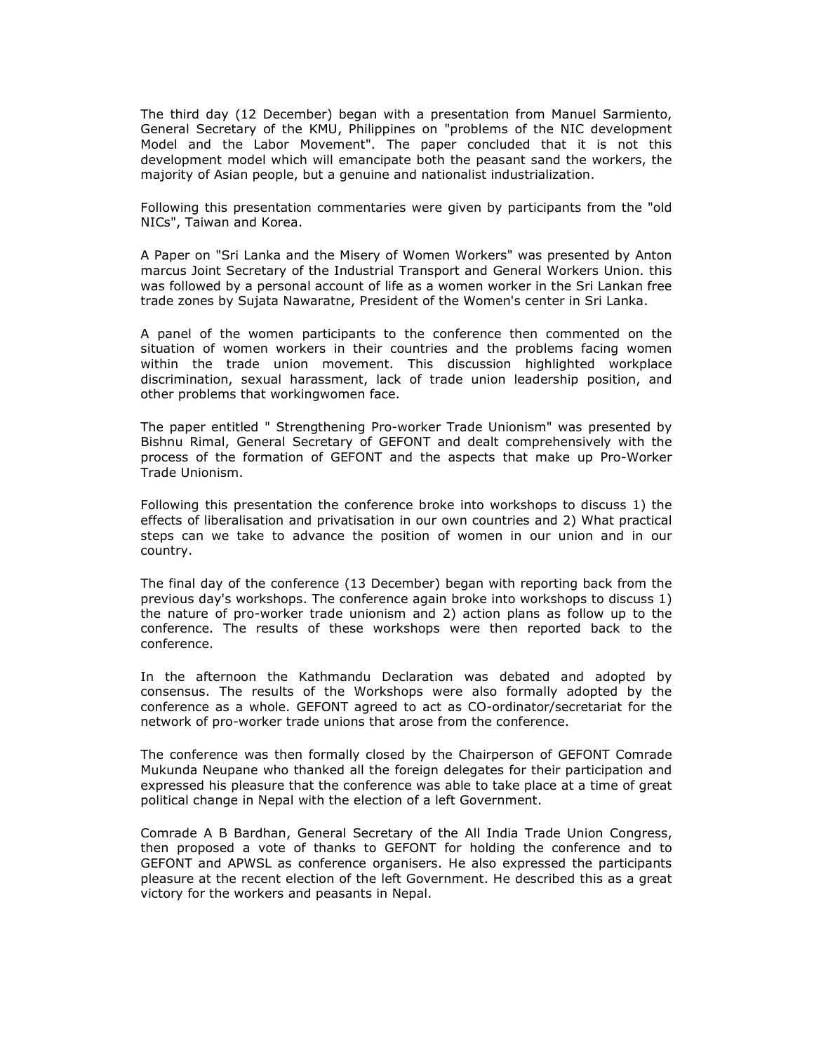The third day (12 December) began with a presentation from Manuel Sarmiento, General Secretary of the KMU, Philippines on "problems of the NIC development Model and the Labor Movement". The paper concluded that it is not this development model which will emancipate both the peasant sand the workers, the majority of Asian people, but a genuine and nationalist industrialization.

Following this presentation commentaries were given by participants from the "old NICs", Taiwan and Korea.

A Paper on "Sri Lanka and the Misery of Women Workers" was presented by Anton marcus Joint Secretary of the Industrial Transport and General Workers Union. this was followed by a personal account of life as a women worker in the Sri Lankan free trade zones by Sujata Nawaratne, President of the Women's center in Sri Lanka.

A panel of the women participants to the conference then commented on the situation of women workers in their countries and the problems facing women within the trade union movement. This discussion highlighted workplace discrimination, sexual harassment, lack of trade union leadership position, and other problems that workingwomen face.

The paper entitled " Strengthening Pro-worker Trade Unionism" was presented by Bishnu Rimal, General Secretary of GEFONT and dealt comprehensively with the process of the formation of GEFONT and the aspects that make up Pro-Worker Trade Unionism.

Following this presentation the conference broke into workshops to discuss 1) the effects of liberalisation and privatisation in our own countries and 2) What practical steps can we take to advance the position of women in our union and in our country.

The final day of the conference (13 December) began with reporting back from the previous day's workshops. The conference again broke into workshops to discuss 1) the nature of pro-worker trade unionism and 2) action plans as follow up to the conference. The results of these workshops were then reported back to the conference.

In the afternoon the Kathmandu Declaration was debated and adopted by consensus. The results of the Workshops were also formally adopted by the conference as a whole. GEFONT agreed to act as CO-ordinator/secretariat for the network of pro-worker trade unions that arose from the conference.

The conference was then formally closed by the Chairperson of GEFONT Comrade Mukunda Neupane who thanked all the foreign delegates for their participation and expressed his pleasure that the conference was able to take place at a time of great political change in Nepal with the election of a left Government.

Comrade A B Bardhan, General Secretary of the All India Trade Union Congress, then proposed a vote of thanks to GEFONT for holding the conference and to GEFONT and APWSL as conference organisers. He also expressed the participants pleasure at the recent election of the left Government. He described this as a great victory for the workers and peasants in Nepal.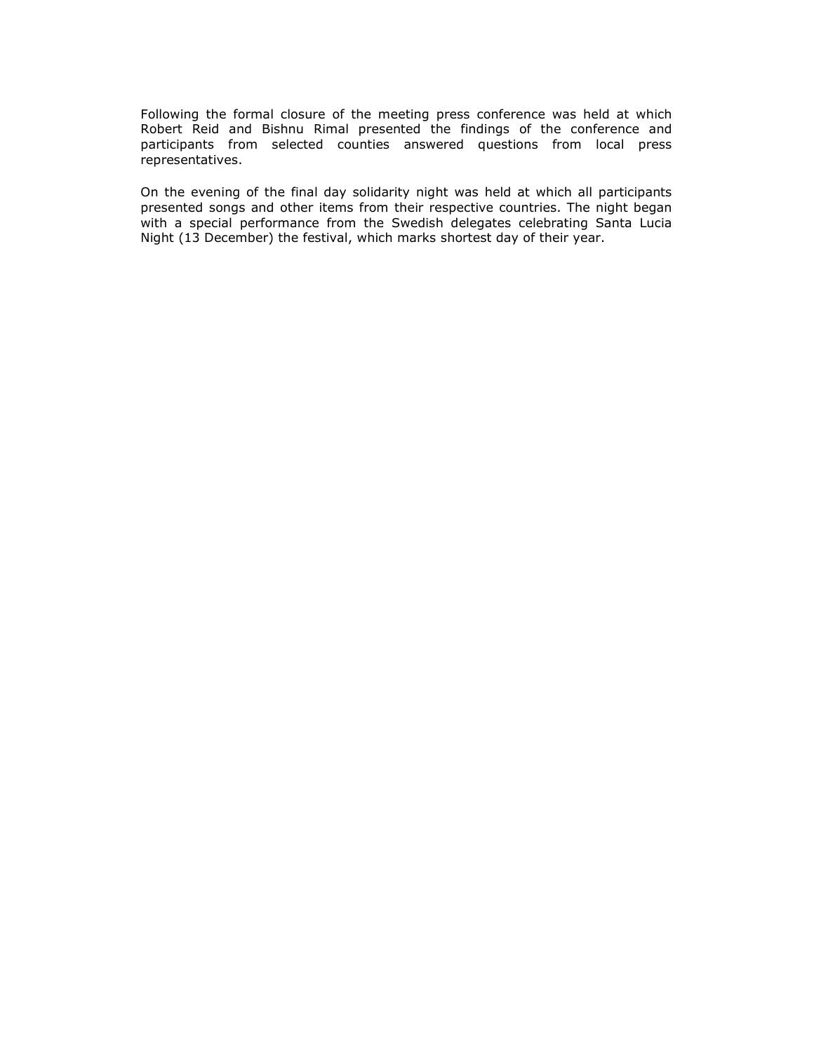Following the formal closure of the meeting press conference was held at which Robert Reid and Bishnu Rimal presented the findings of the conference and participants from selected counties answered questions from local press representatives.

On the evening of the final day solidarity night was held at which all participants presented songs and other items from their respective countries. The night began with a special performance from the Swedish delegates celebrating Santa Lucia Night (13 December) the festival, which marks shortest day of their year.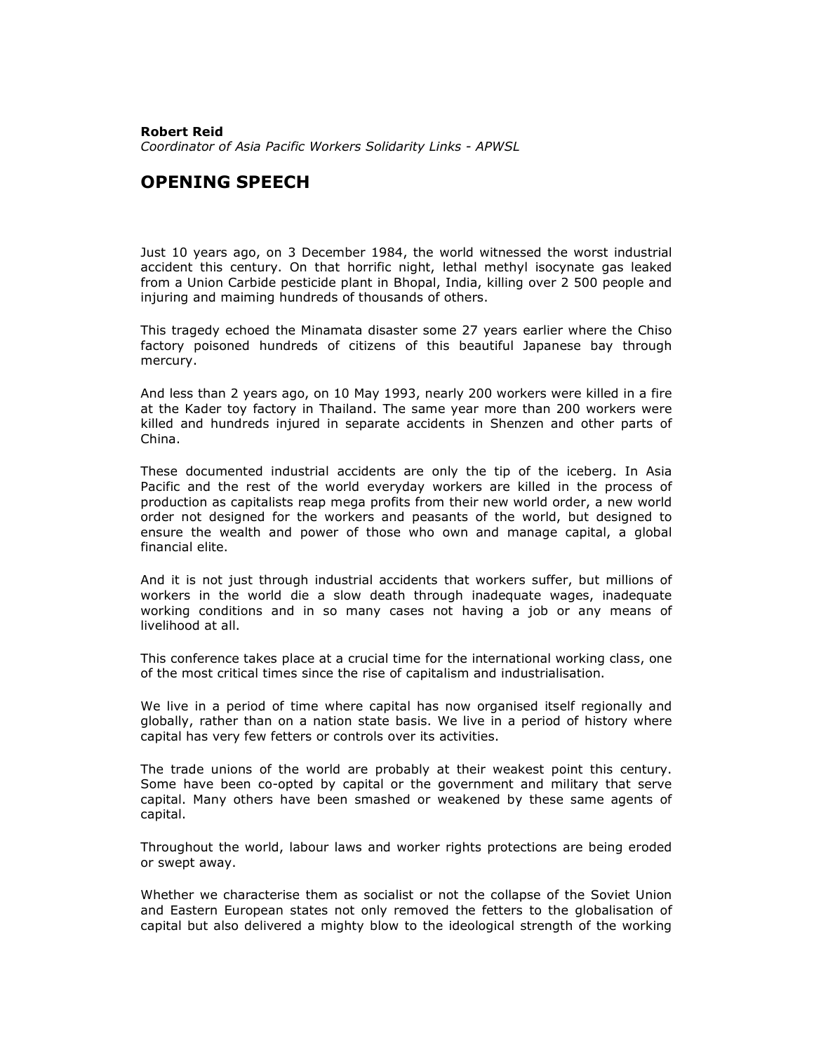### Robert Reid Coordinator of Asia Pacific Workers Solidarity Links - APWSL

## OPENING SPEECH

Just 10 years ago, on 3 December 1984, the world witnessed the worst industrial accident this century. On that horrific night, lethal methyl isocynate gas leaked from a Union Carbide pesticide plant in Bhopal, India, killing over 2 500 people and injuring and maiming hundreds of thousands of others.

This tragedy echoed the Minamata disaster some 27 years earlier where the Chiso factory poisoned hundreds of citizens of this beautiful Japanese bay through mercury.

And less than 2 years ago, on 10 May 1993, nearly 200 workers were killed in a fire at the Kader toy factory in Thailand. The same year more than 200 workers were killed and hundreds injured in separate accidents in Shenzen and other parts of China.

These documented industrial accidents are only the tip of the iceberg. In Asia Pacific and the rest of the world everyday workers are killed in the process of production as capitalists reap mega profits from their new world order, a new world order not designed for the workers and peasants of the world, but designed to ensure the wealth and power of those who own and manage capital, a global financial elite.

And it is not just through industrial accidents that workers suffer, but millions of workers in the world die a slow death through inadequate wages, inadequate working conditions and in so many cases not having a job or any means of livelihood at all.

This conference takes place at a crucial time for the international working class, one of the most critical times since the rise of capitalism and industrialisation.

We live in a period of time where capital has now organised itself regionally and globally, rather than on a nation state basis. We live in a period of history where capital has very few fetters or controls over its activities.

The trade unions of the world are probably at their weakest point this century. Some have been co-opted by capital or the government and military that serve capital. Many others have been smashed or weakened by these same agents of capital.

Throughout the world, labour laws and worker rights protections are being eroded or swept away.

Whether we characterise them as socialist or not the collapse of the Soviet Union and Eastern European states not only removed the fetters to the globalisation of capital but also delivered a mighty blow to the ideological strength of the working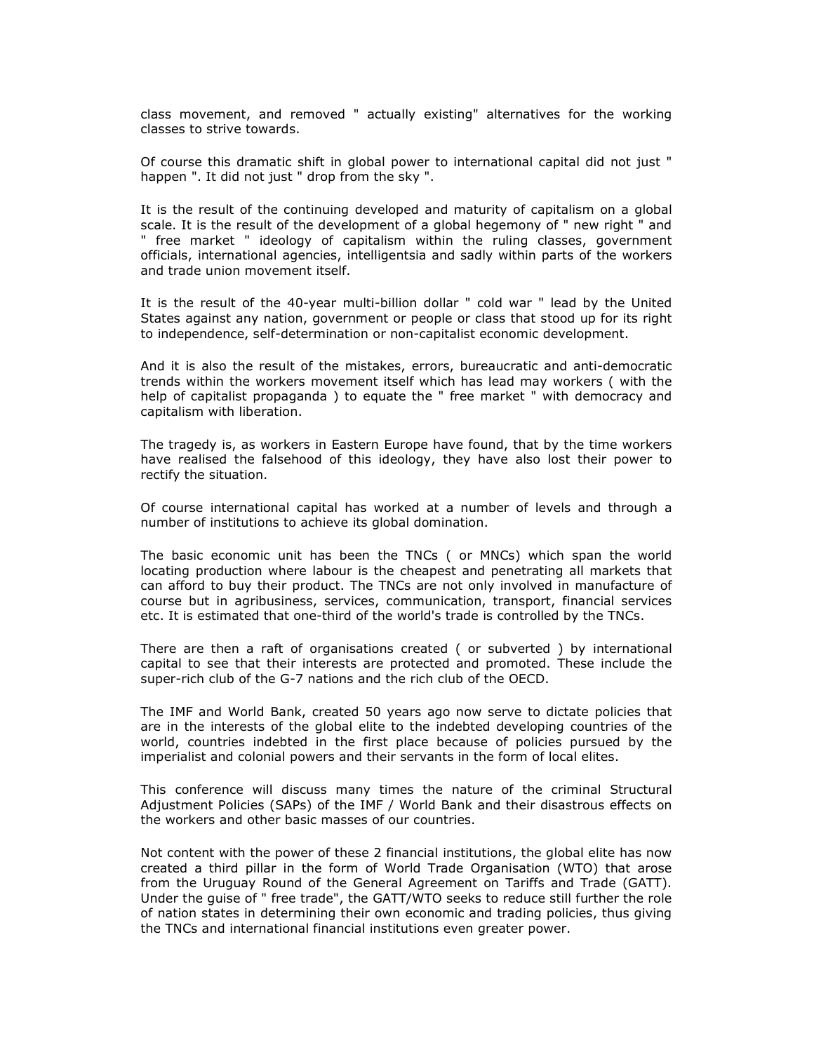class movement, and removed " actually existing" alternatives for the working classes to strive towards.

Of course this dramatic shift in global power to international capital did not just " happen ". It did not just " drop from the sky ".

It is the result of the continuing developed and maturity of capitalism on a global scale. It is the result of the development of a global hegemony of " new right " and " free market " ideology of capitalism within the ruling classes, government officials, international agencies, intelligentsia and sadly within parts of the workers and trade union movement itself.

It is the result of the 40-year multi-billion dollar " cold war " lead by the United States against any nation, government or people or class that stood up for its right to independence, self-determination or non-capitalist economic development.

And it is also the result of the mistakes, errors, bureaucratic and anti-democratic trends within the workers movement itself which has lead may workers ( with the help of capitalist propaganda ) to equate the " free market " with democracy and capitalism with liberation.

The tragedy is, as workers in Eastern Europe have found, that by the time workers have realised the falsehood of this ideology, they have also lost their power to rectify the situation.

Of course international capital has worked at a number of levels and through a number of institutions to achieve its global domination.

The basic economic unit has been the TNCs ( or MNCs) which span the world locating production where labour is the cheapest and penetrating all markets that can afford to buy their product. The TNCs are not only involved in manufacture of course but in agribusiness, services, communication, transport, financial services etc. It is estimated that one-third of the world's trade is controlled by the TNCs.

There are then a raft of organisations created ( or subverted ) by international capital to see that their interests are protected and promoted. These include the super-rich club of the G-7 nations and the rich club of the OECD.

The IMF and World Bank, created 50 years ago now serve to dictate policies that are in the interests of the global elite to the indebted developing countries of the world, countries indebted in the first place because of policies pursued by the imperialist and colonial powers and their servants in the form of local elites.

This conference will discuss many times the nature of the criminal Structural Adjustment Policies (SAPs) of the IMF / World Bank and their disastrous effects on the workers and other basic masses of our countries.

Not content with the power of these 2 financial institutions, the global elite has now created a third pillar in the form of World Trade Organisation (WTO) that arose from the Uruguay Round of the General Agreement on Tariffs and Trade (GATT). Under the guise of " free trade", the GATT/WTO seeks to reduce still further the role of nation states in determining their own economic and trading policies, thus giving the TNCs and international financial institutions even greater power.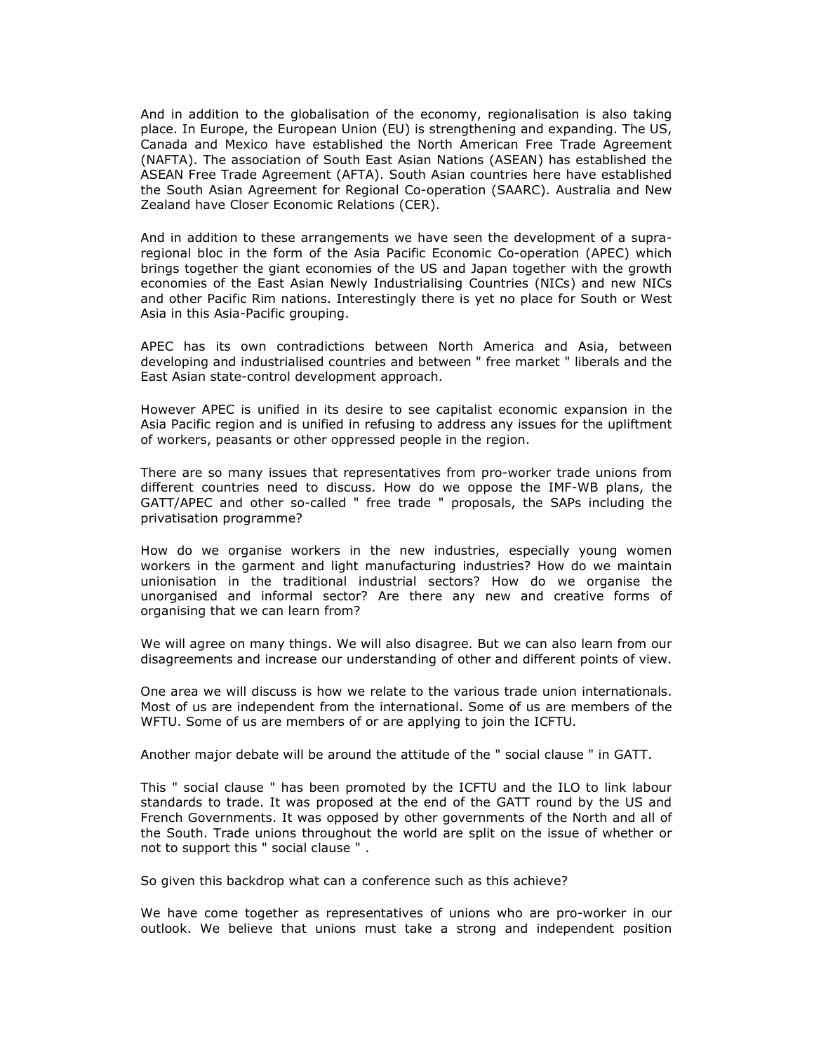And in addition to the globalisation of the economy, regionalisation is also taking place. In Europe, the European Union (EU) is strengthening and expanding. The US, Canada and Mexico have established the North American Free Trade Agreement (NAFTA). The association of South East Asian Nations (ASEAN) has established the ASEAN Free Trade Agreement (AFTA). South Asian countries here have established the South Asian Agreement for Regional Co-operation (SAARC). Australia and New Zealand have Closer Economic Relations (CER).

And in addition to these arrangements we have seen the development of a supraregional bloc in the form of the Asia Pacific Economic Co-operation (APEC) which brings together the giant economies of the US and Japan together with the growth economies of the East Asian Newly Industrialising Countries (NICs) and new NICs and other Pacific Rim nations. Interestingly there is yet no place for South or West Asia in this Asia-Pacific grouping.

APEC has its own contradictions between North America and Asia, between developing and industrialised countries and between " free market " liberals and the East Asian state-control development approach.

However APEC is unified in its desire to see capitalist economic expansion in the Asia Pacific region and is unified in refusing to address any issues for the upliftment of workers, peasants or other oppressed people in the region.

There are so many issues that representatives from pro-worker trade unions from different countries need to discuss. How do we oppose the IMF-WB plans, the GATT/APEC and other so-called " free trade " proposals, the SAPs including the privatisation programme?

How do we organise workers in the new industries, especially young women workers in the garment and light manufacturing industries? How do we maintain unionisation in the traditional industrial sectors? How do we organise the unorganised and informal sector? Are there any new and creative forms of organising that we can learn from?

We will agree on many things. We will also disagree. But we can also learn from our disagreements and increase our understanding of other and different points of view.

One area we will discuss is how we relate to the various trade union internationals. Most of us are independent from the international. Some of us are members of the WFTU. Some of us are members of or are applying to join the ICFTU.

Another major debate will be around the attitude of the " social clause " in GATT.

This " social clause " has been promoted by the ICFTU and the ILO to link labour standards to trade. It was proposed at the end of the GATT round by the US and French Governments. It was opposed by other governments of the North and all of the South. Trade unions throughout the world are split on the issue of whether or not to support this " social clause " .

So given this backdrop what can a conference such as this achieve?

We have come together as representatives of unions who are pro-worker in our outlook. We believe that unions must take a strong and independent position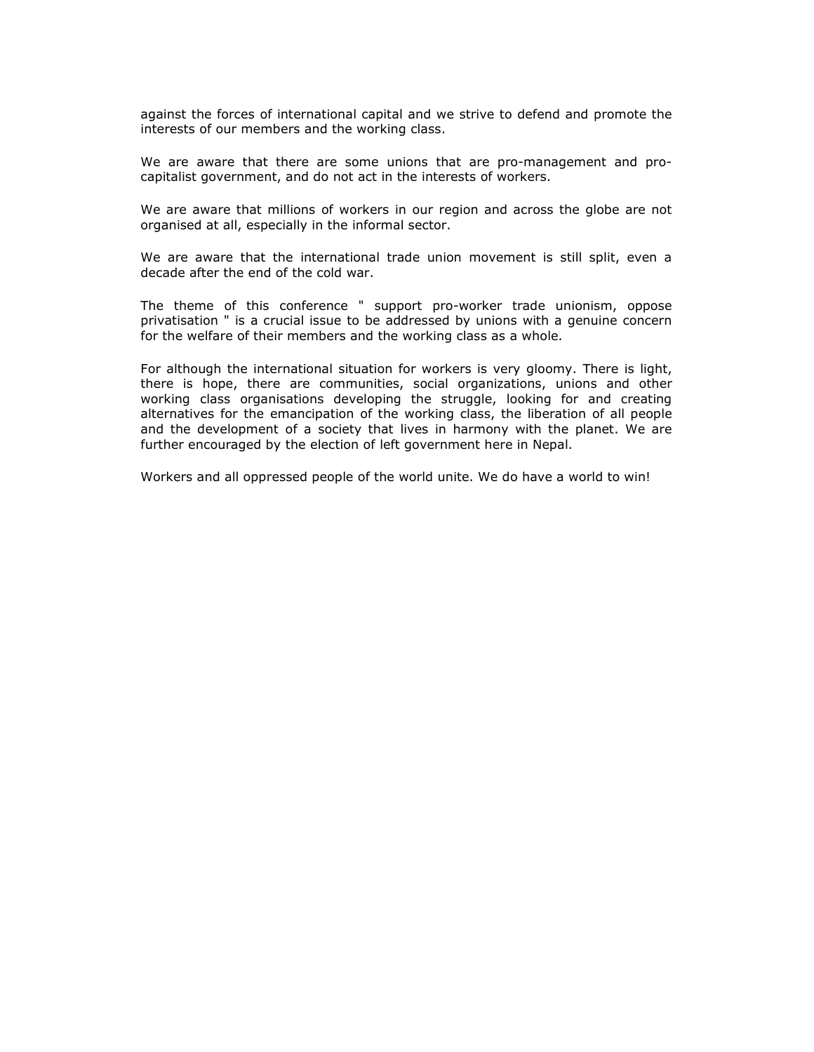against the forces of international capital and we strive to defend and promote the interests of our members and the working class.

We are aware that there are some unions that are pro-management and procapitalist government, and do not act in the interests of workers.

We are aware that millions of workers in our region and across the globe are not organised at all, especially in the informal sector.

We are aware that the international trade union movement is still split, even a decade after the end of the cold war.

The theme of this conference " support pro-worker trade unionism, oppose privatisation " is a crucial issue to be addressed by unions with a genuine concern for the welfare of their members and the working class as a whole.

For although the international situation for workers is very gloomy. There is light, there is hope, there are communities, social organizations, unions and other working class organisations developing the struggle, looking for and creating alternatives for the emancipation of the working class, the liberation of all people and the development of a society that lives in harmony with the planet. We are further encouraged by the election of left government here in Nepal.

Workers and all oppressed people of the world unite. We do have a world to win!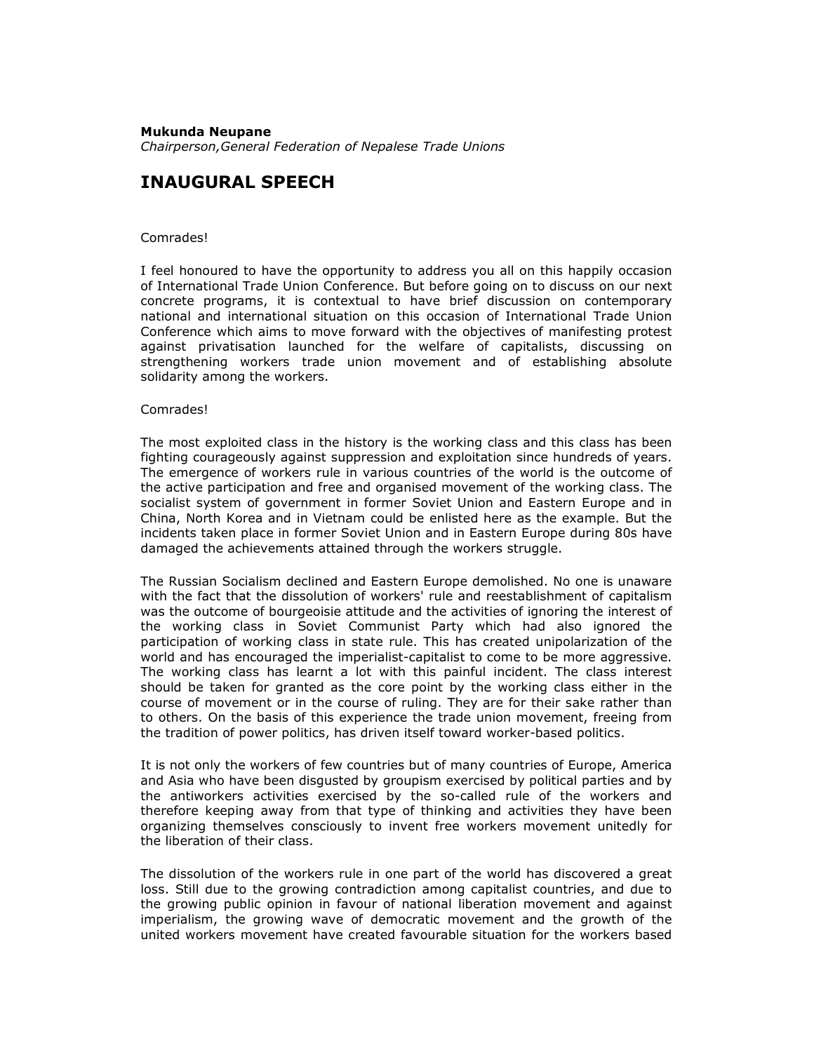### Mukunda Neupane

Chairperson,General Federation of Nepalese Trade Unions

## INAUGURAL SPEECH

### Comrades!

I feel honoured to have the opportunity to address you all on this happily occasion of International Trade Union Conference. But before going on to discuss on our next concrete programs, it is contextual to have brief discussion on contemporary national and international situation on this occasion of International Trade Union Conference which aims to move forward with the objectives of manifesting protest against privatisation launched for the welfare of capitalists, discussing on strengthening workers trade union movement and of establishing absolute solidarity among the workers.

### Comrades!

The most exploited class in the history is the working class and this class has been fighting courageously against suppression and exploitation since hundreds of years. The emergence of workers rule in various countries of the world is the outcome of the active participation and free and organised movement of the working class. The socialist system of government in former Soviet Union and Eastern Europe and in China, North Korea and in Vietnam could be enlisted here as the example. But the incidents taken place in former Soviet Union and in Eastern Europe during 80s have damaged the achievements attained through the workers struggle.

The Russian Socialism declined and Eastern Europe demolished. No one is unaware with the fact that the dissolution of workers' rule and reestablishment of capitalism was the outcome of bourgeoisie attitude and the activities of ignoring the interest of the working class in Soviet Communist Party which had also ignored the participation of working class in state rule. This has created unipolarization of the world and has encouraged the imperialist-capitalist to come to be more aggressive. The working class has learnt a lot with this painful incident. The class interest should be taken for granted as the core point by the working class either in the course of movement or in the course of ruling. They are for their sake rather than to others. On the basis of this experience the trade union movement, freeing from the tradition of power politics, has driven itself toward worker-based politics.

It is not only the workers of few countries but of many countries of Europe, America and Asia who have been disgusted by groupism exercised by political parties and by the antiworkers activities exercised by the so-called rule of the workers and therefore keeping away from that type of thinking and activities they have been organizing themselves consciously to invent free workers movement unitedly for the liberation of their class.

The dissolution of the workers rule in one part of the world has discovered a great loss. Still due to the growing contradiction among capitalist countries, and due to the growing public opinion in favour of national liberation movement and against imperialism, the growing wave of democratic movement and the growth of the united workers movement have created favourable situation for the workers based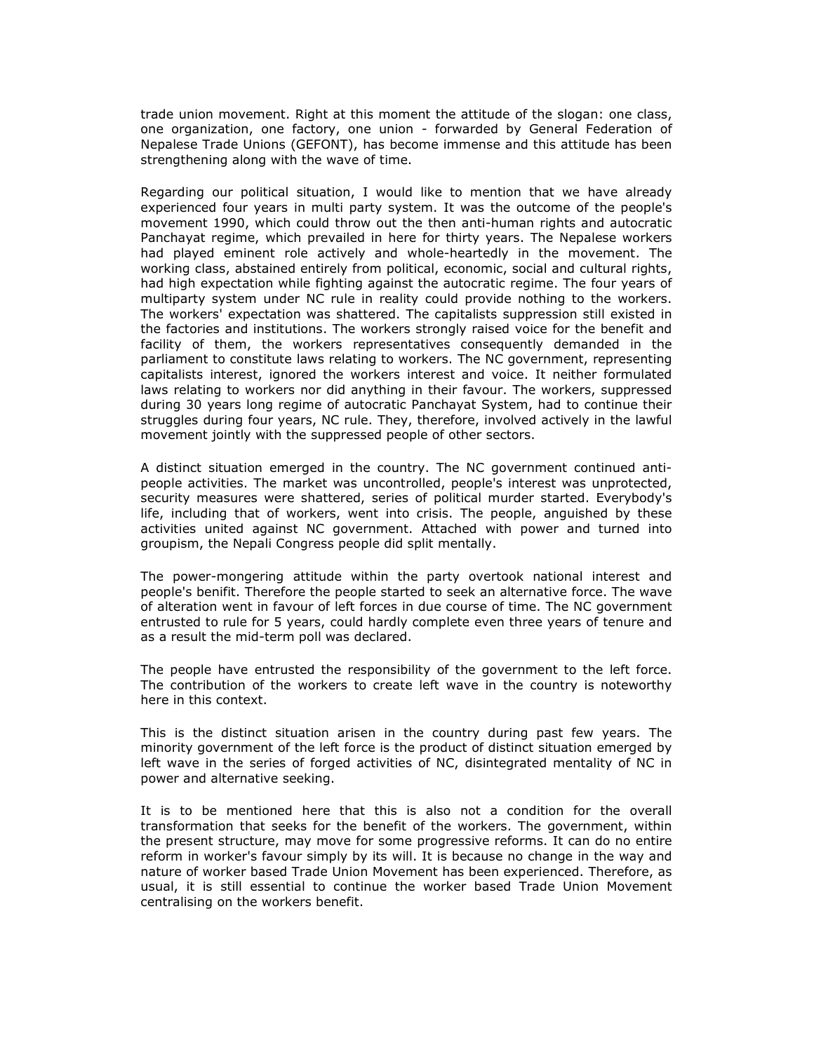trade union movement. Right at this moment the attitude of the slogan: one class, one organization, one factory, one union - forwarded by General Federation of Nepalese Trade Unions (GEFONT), has become immense and this attitude has been strengthening along with the wave of time.

Regarding our political situation, I would like to mention that we have already experienced four years in multi party system. It was the outcome of the people's movement 1990, which could throw out the then anti-human rights and autocratic Panchayat regime, which prevailed in here for thirty years. The Nepalese workers had played eminent role actively and whole-heartedly in the movement. The working class, abstained entirely from political, economic, social and cultural rights, had high expectation while fighting against the autocratic regime. The four years of multiparty system under NC rule in reality could provide nothing to the workers. The workers' expectation was shattered. The capitalists suppression still existed in the factories and institutions. The workers strongly raised voice for the benefit and facility of them, the workers representatives consequently demanded in the parliament to constitute laws relating to workers. The NC government, representing capitalists interest, ignored the workers interest and voice. It neither formulated laws relating to workers nor did anything in their favour. The workers, suppressed during 30 years long regime of autocratic Panchayat System, had to continue their struggles during four years, NC rule. They, therefore, involved actively in the lawful movement jointly with the suppressed people of other sectors.

A distinct situation emerged in the country. The NC government continued antipeople activities. The market was uncontrolled, people's interest was unprotected, security measures were shattered, series of political murder started. Everybody's life, including that of workers, went into crisis. The people, anguished by these activities united against NC government. Attached with power and turned into groupism, the Nepali Congress people did split mentally.

The power-mongering attitude within the party overtook national interest and people's benifit. Therefore the people started to seek an alternative force. The wave of alteration went in favour of left forces in due course of time. The NC government entrusted to rule for 5 years, could hardly complete even three years of tenure and as a result the mid-term poll was declared.

The people have entrusted the responsibility of the government to the left force. The contribution of the workers to create left wave in the country is noteworthy here in this context.

This is the distinct situation arisen in the country during past few years. The minority government of the left force is the product of distinct situation emerged by left wave in the series of forged activities of NC, disintegrated mentality of NC in power and alternative seeking.

It is to be mentioned here that this is also not a condition for the overall transformation that seeks for the benefit of the workers. The government, within the present structure, may move for some progressive reforms. It can do no entire reform in worker's favour simply by its will. It is because no change in the way and nature of worker based Trade Union Movement has been experienced. Therefore, as usual, it is still essential to continue the worker based Trade Union Movement centralising on the workers benefit.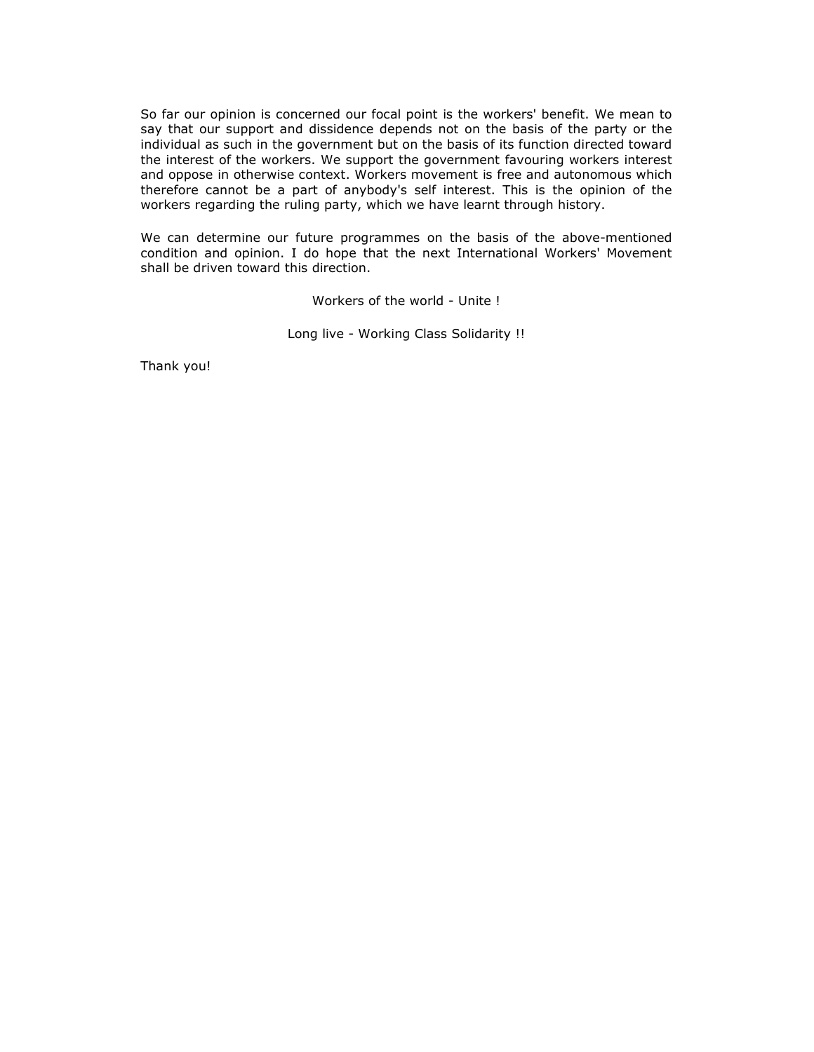So far our opinion is concerned our focal point is the workers' benefit. We mean to say that our support and dissidence depends not on the basis of the party or the individual as such in the government but on the basis of its function directed toward the interest of the workers. We support the government favouring workers interest and oppose in otherwise context. Workers movement is free and autonomous which therefore cannot be a part of anybody's self interest. This is the opinion of the workers regarding the ruling party, which we have learnt through history.

We can determine our future programmes on the basis of the above-mentioned condition and opinion. I do hope that the next International Workers' Movement shall be driven toward this direction.

Workers of the world - Unite !

Long live - Working Class Solidarity !!

Thank you!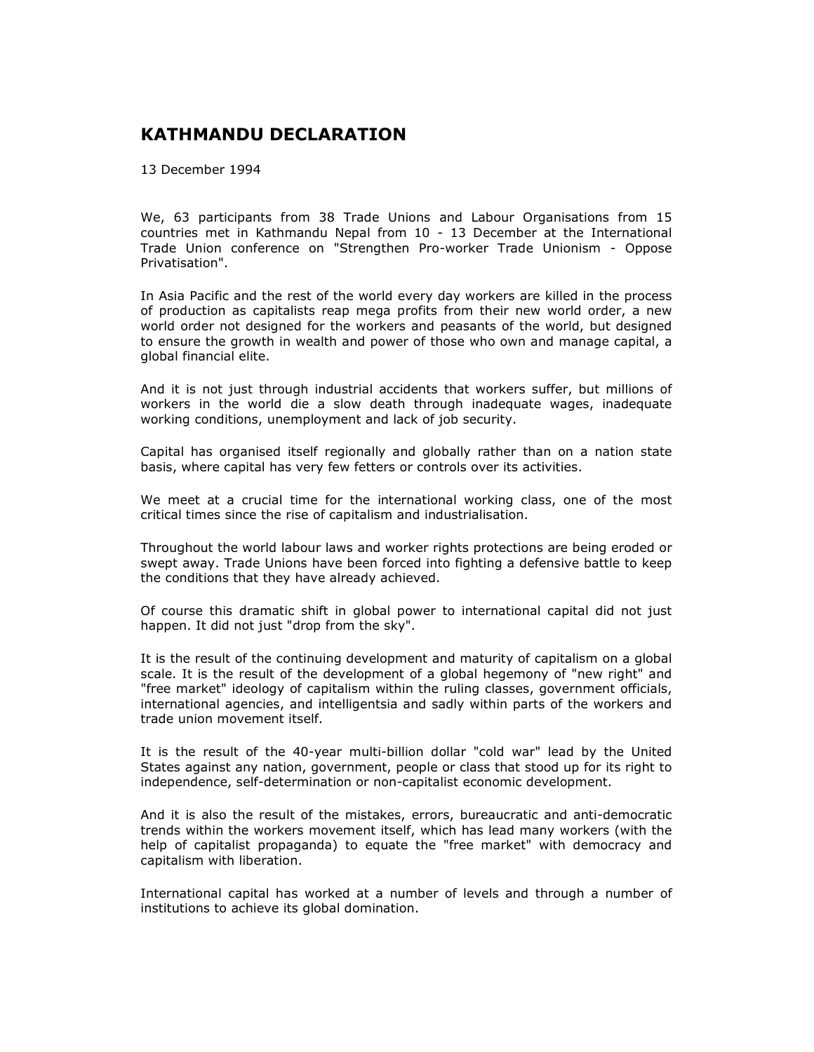## KATHMANDU DECLARATION

13 December 1994

We, 63 participants from 38 Trade Unions and Labour Organisations from 15 countries met in Kathmandu Nepal from 10 - 13 December at the International Trade Union conference on "Strengthen Pro-worker Trade Unionism - Oppose Privatisation".

In Asia Pacific and the rest of the world every day workers are killed in the process of production as capitalists reap mega profits from their new world order, a new world order not designed for the workers and peasants of the world, but designed to ensure the growth in wealth and power of those who own and manage capital, a global financial elite.

And it is not just through industrial accidents that workers suffer, but millions of workers in the world die a slow death through inadequate wages, inadequate working conditions, unemployment and lack of job security.

Capital has organised itself regionally and globally rather than on a nation state basis, where capital has very few fetters or controls over its activities.

We meet at a crucial time for the international working class, one of the most critical times since the rise of capitalism and industrialisation.

Throughout the world labour laws and worker rights protections are being eroded or swept away. Trade Unions have been forced into fighting a defensive battle to keep the conditions that they have already achieved.

Of course this dramatic shift in global power to international capital did not just happen. It did not just "drop from the sky".

It is the result of the continuing development and maturity of capitalism on a global scale. It is the result of the development of a global hegemony of "new right" and "free market" ideology of capitalism within the ruling classes, government officials, international agencies, and intelligentsia and sadly within parts of the workers and trade union movement itself.

It is the result of the 40-year multi-billion dollar "cold war" lead by the United States against any nation, government, people or class that stood up for its right to independence, self-determination or non-capitalist economic development.

And it is also the result of the mistakes, errors, bureaucratic and anti-democratic trends within the workers movement itself, which has lead many workers (with the help of capitalist propaganda) to equate the "free market" with democracy and capitalism with liberation.

International capital has worked at a number of levels and through a number of institutions to achieve its global domination.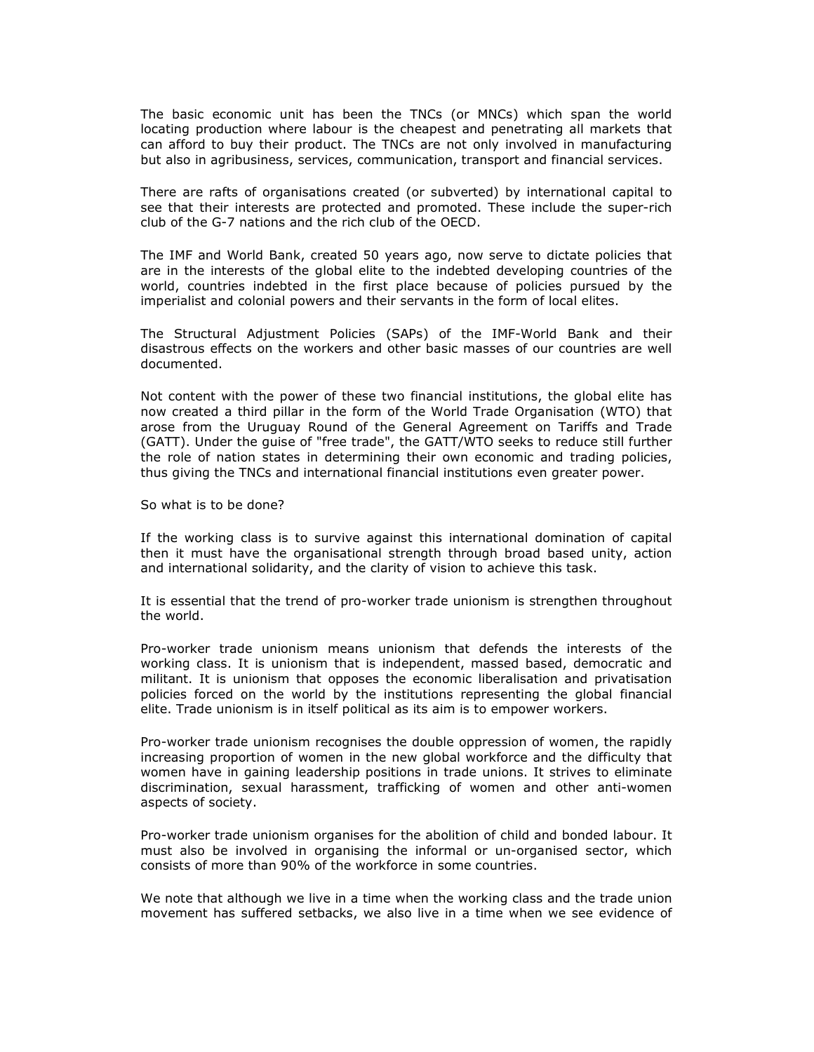The basic economic unit has been the TNCs (or MNCs) which span the world locating production where labour is the cheapest and penetrating all markets that can afford to buy their product. The TNCs are not only involved in manufacturing but also in agribusiness, services, communication, transport and financial services.

There are rafts of organisations created (or subverted) by international capital to see that their interests are protected and promoted. These include the super-rich club of the G-7 nations and the rich club of the OECD.

The IMF and World Bank, created 50 years ago, now serve to dictate policies that are in the interests of the global elite to the indebted developing countries of the world, countries indebted in the first place because of policies pursued by the imperialist and colonial powers and their servants in the form of local elites.

The Structural Adjustment Policies (SAPs) of the IMF-World Bank and their disastrous effects on the workers and other basic masses of our countries are well documented.

Not content with the power of these two financial institutions, the global elite has now created a third pillar in the form of the World Trade Organisation (WTO) that arose from the Uruguay Round of the General Agreement on Tariffs and Trade (GATT). Under the guise of "free trade", the GATT/WTO seeks to reduce still further the role of nation states in determining their own economic and trading policies, thus giving the TNCs and international financial institutions even greater power.

So what is to be done?

If the working class is to survive against this international domination of capital then it must have the organisational strength through broad based unity, action and international solidarity, and the clarity of vision to achieve this task.

It is essential that the trend of pro-worker trade unionism is strengthen throughout the world.

Pro-worker trade unionism means unionism that defends the interests of the working class. It is unionism that is independent, massed based, democratic and militant. It is unionism that opposes the economic liberalisation and privatisation policies forced on the world by the institutions representing the global financial elite. Trade unionism is in itself political as its aim is to empower workers.

Pro-worker trade unionism recognises the double oppression of women, the rapidly increasing proportion of women in the new global workforce and the difficulty that women have in gaining leadership positions in trade unions. It strives to eliminate discrimination, sexual harassment, trafficking of women and other anti-women aspects of society.

Pro-worker trade unionism organises for the abolition of child and bonded labour. It must also be involved in organising the informal or un-organised sector, which consists of more than 90% of the workforce in some countries.

We note that although we live in a time when the working class and the trade union movement has suffered setbacks, we also live in a time when we see evidence of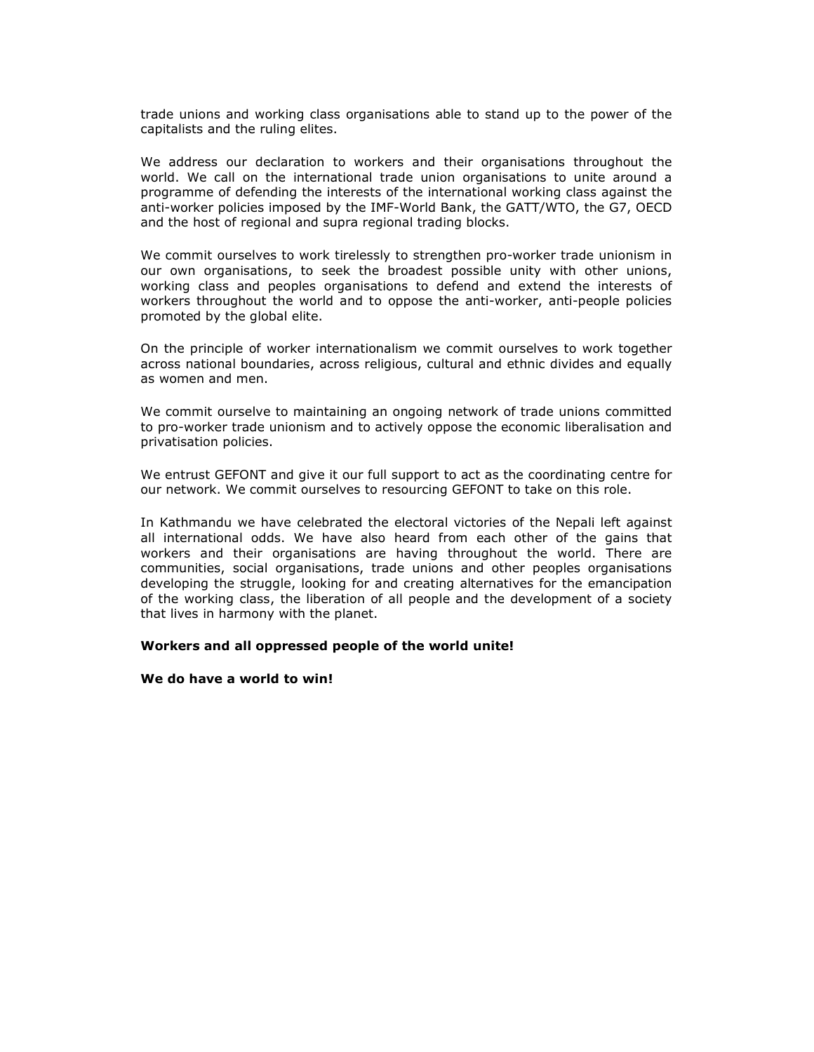trade unions and working class organisations able to stand up to the power of the capitalists and the ruling elites.

We address our declaration to workers and their organisations throughout the world. We call on the international trade union organisations to unite around a programme of defending the interests of the international working class against the anti-worker policies imposed by the IMF-World Bank, the GATT/WTO, the G7, OECD and the host of regional and supra regional trading blocks.

We commit ourselves to work tirelessly to strengthen pro-worker trade unionism in our own organisations, to seek the broadest possible unity with other unions, working class and peoples organisations to defend and extend the interests of workers throughout the world and to oppose the anti-worker, anti-people policies promoted by the global elite.

On the principle of worker internationalism we commit ourselves to work together across national boundaries, across religious, cultural and ethnic divides and equally as women and men.

We commit ourselve to maintaining an ongoing network of trade unions committed to pro-worker trade unionism and to actively oppose the economic liberalisation and privatisation policies.

We entrust GEFONT and give it our full support to act as the coordinating centre for our network. We commit ourselves to resourcing GEFONT to take on this role.

In Kathmandu we have celebrated the electoral victories of the Nepali left against all international odds. We have also heard from each other of the gains that workers and their organisations are having throughout the world. There are communities, social organisations, trade unions and other peoples organisations developing the struggle, looking for and creating alternatives for the emancipation of the working class, the liberation of all people and the development of a society that lives in harmony with the planet.

## Workers and all oppressed people of the world unite!

## We do have a world to win!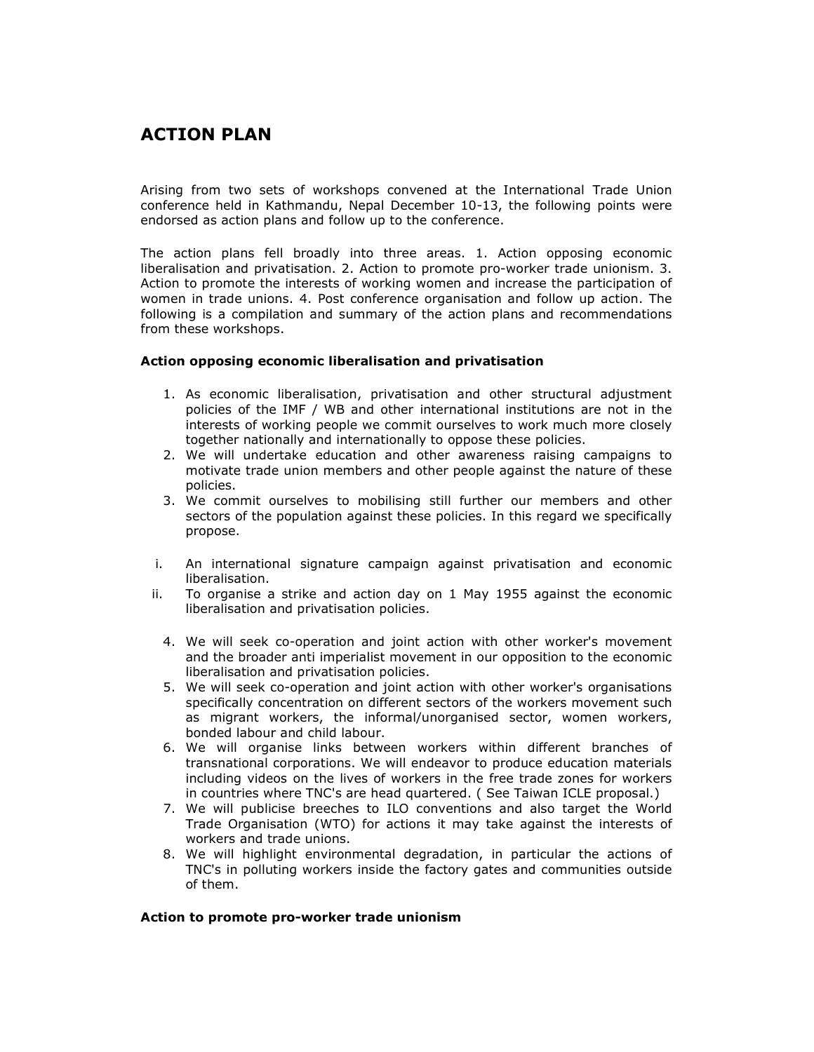## ACTION PLAN

Arising from two sets of workshops convened at the International Trade Union conference held in Kathmandu, Nepal December 10-13, the following points were endorsed as action plans and follow up to the conference.

The action plans fell broadly into three areas. 1. Action opposing economic liberalisation and privatisation. 2. Action to promote pro-worker trade unionism. 3. Action to promote the interests of working women and increase the participation of women in trade unions. 4. Post conference organisation and follow up action. The following is a compilation and summary of the action plans and recommendations from these workshops.

## Action opposing economic liberalisation and privatisation

- 1. As economic liberalisation, privatisation and other structural adjustment policies of the IMF / WB and other international institutions are not in the interests of working people we commit ourselves to work much more closely together nationally and internationally to oppose these policies.
- 2. We will undertake education and other awareness raising campaigns to motivate trade union members and other people against the nature of these policies.
- 3. We commit ourselves to mobilising still further our members and other sectors of the population against these policies. In this regard we specifically propose.
- i. An international signature campaign against privatisation and economic liberalisation.
- ii. To organise a strike and action day on 1 May 1955 against the economic liberalisation and privatisation policies.
	- 4. We will seek co-operation and joint action with other worker's movement and the broader anti imperialist movement in our opposition to the economic liberalisation and privatisation policies.
	- 5. We will seek co-operation and joint action with other worker's organisations specifically concentration on different sectors of the workers movement such as migrant workers, the informal/unorganised sector, women workers, bonded labour and child labour.
	- 6. We will organise links between workers within different branches of transnational corporations. We will endeavor to produce education materials including videos on the lives of workers in the free trade zones for workers in countries where TNC's are head quartered. ( See Taiwan ICLE proposal.)
	- 7. We will publicise breeches to ILO conventions and also target the World Trade Organisation (WTO) for actions it may take against the interests of workers and trade unions.
	- 8. We will highlight environmental degradation, in particular the actions of TNC's in polluting workers inside the factory gates and communities outside of them.

## Action to promote pro-worker trade unionism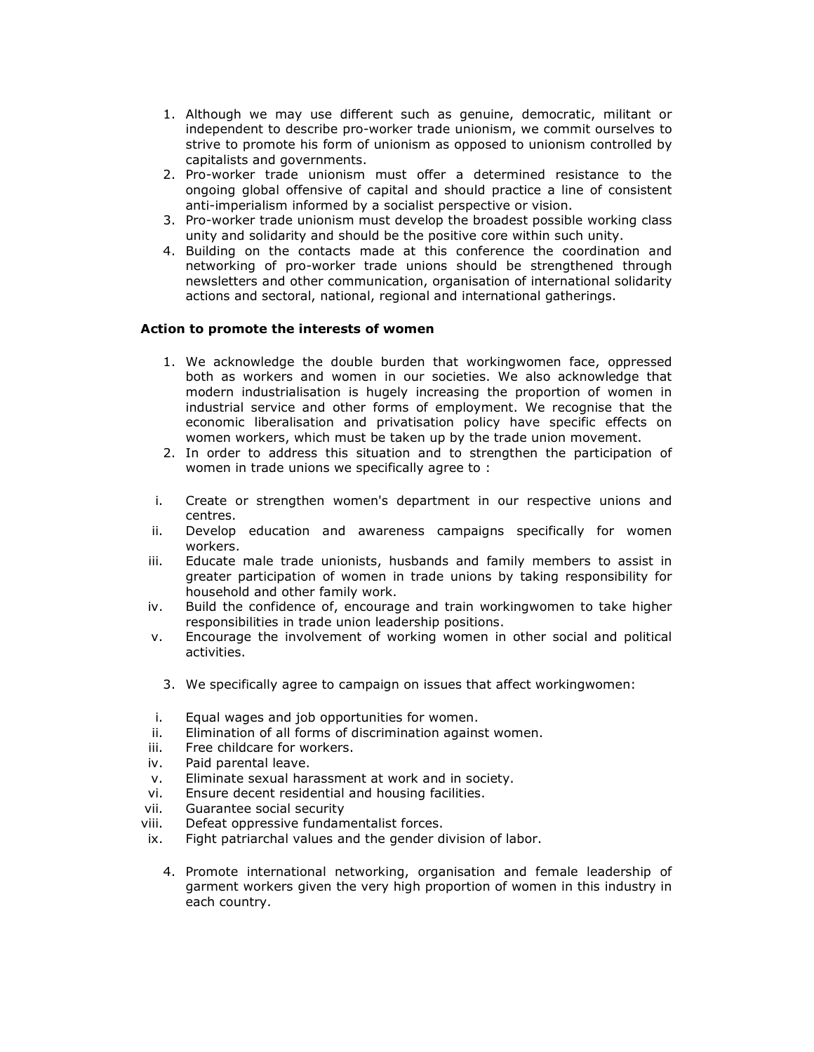- 1. Although we may use different such as genuine, democratic, militant or independent to describe pro-worker trade unionism, we commit ourselves to strive to promote his form of unionism as opposed to unionism controlled by capitalists and governments.
- 2. Pro-worker trade unionism must offer a determined resistance to the ongoing global offensive of capital and should practice a line of consistent anti-imperialism informed by a socialist perspective or vision.
- 3. Pro-worker trade unionism must develop the broadest possible working class unity and solidarity and should be the positive core within such unity.
- 4. Building on the contacts made at this conference the coordination and networking of pro-worker trade unions should be strengthened through newsletters and other communication, organisation of international solidarity actions and sectoral, national, regional and international gatherings.

## Action to promote the interests of women

- 1. We acknowledge the double burden that workingwomen face, oppressed both as workers and women in our societies. We also acknowledge that modern industrialisation is hugely increasing the proportion of women in industrial service and other forms of employment. We recognise that the economic liberalisation and privatisation policy have specific effects on women workers, which must be taken up by the trade union movement.
- 2. In order to address this situation and to strengthen the participation of women in trade unions we specifically agree to :
- i. Create or strengthen women's department in our respective unions and centres.
- ii. Develop education and awareness campaigns specifically for women workers.
- iii. Educate male trade unionists, husbands and family members to assist in greater participation of women in trade unions by taking responsibility for household and other family work.
- iv. Build the confidence of, encourage and train workingwomen to take higher responsibilities in trade union leadership positions.
- v. Encourage the involvement of working women in other social and political activities.
	- 3. We specifically agree to campaign on issues that affect workingwomen:
- i. Equal wages and job opportunities for women.
- ii. Elimination of all forms of discrimination against women.
- iii. Free childcare for workers.
- iv. Paid parental leave.
- v. Eliminate sexual harassment at work and in society.
- vi. Ensure decent residential and housing facilities.
- vii. Guarantee social security
- viii. Defeat oppressive fundamentalist forces.
- ix. Fight patriarchal values and the gender division of labor.
	- 4. Promote international networking, organisation and female leadership of garment workers given the very high proportion of women in this industry in each country.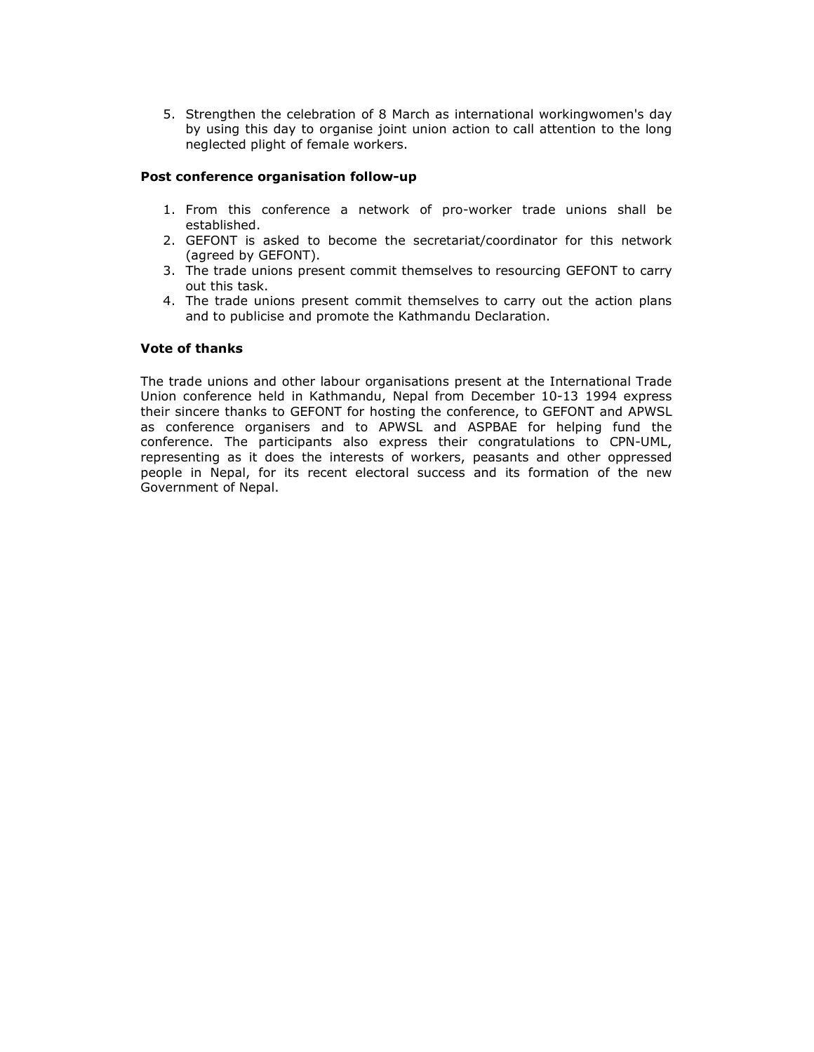5. Strengthen the celebration of 8 March as international workingwomen's day by using this day to organise joint union action to call attention to the long neglected plight of female workers.

## Post conference organisation follow-up

- 1. From this conference a network of pro-worker trade unions shall be established.
- 2. GEFONT is asked to become the secretariat/coordinator for this network (agreed by GEFONT).
- 3. The trade unions present commit themselves to resourcing GEFONT to carry out this task.
- 4. The trade unions present commit themselves to carry out the action plans and to publicise and promote the Kathmandu Declaration.

## Vote of thanks

The trade unions and other labour organisations present at the International Trade Union conference held in Kathmandu, Nepal from December 10-13 1994 express their sincere thanks to GEFONT for hosting the conference, to GEFONT and APWSL as conference organisers and to APWSL and ASPBAE for helping fund the conference. The participants also express their congratulations to CPN-UML, representing as it does the interests of workers, peasants and other oppressed people in Nepal, for its recent electoral success and its formation of the new Government of Nepal.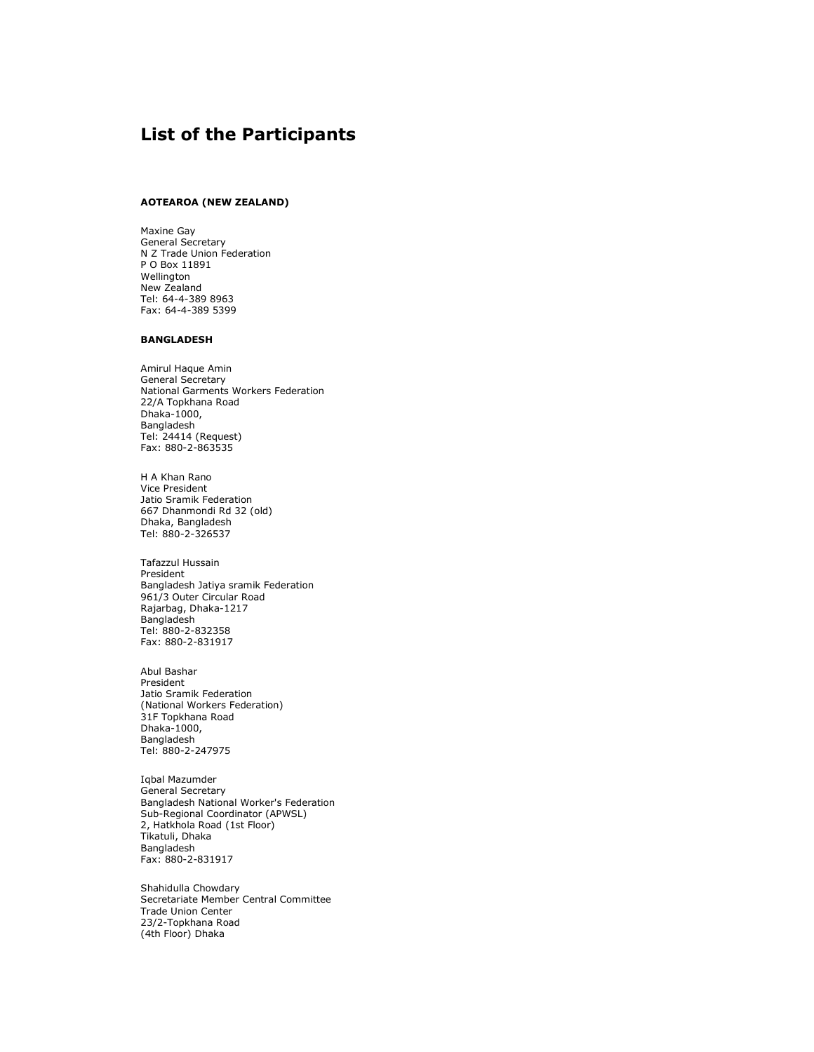## List of the Participants

### AOTEAROA (NEW ZEALAND)

Maxine Gay General Secretary N Z Trade Union Federation P O Box 11891 Wellington New Zealand Tel: 64-4-389 8963 Fax: 64-4-389 5399

#### BANGLADESH

Amirul Haque Amin General Secretary National Garments Workers Federation 22/A Topkhana Road Dhaka-1000, Bangladesh Tel: 24414 (Request) Fax: 880-2-863535

H A Khan Rano Vice President Jatio Sramik Federation 667 Dhanmondi Rd 32 (old) Dhaka, Bangladesh Tel: 880-2-326537

Tafazzul Hussain President Bangladesh Jatiya sramik Federation 961/3 Outer Circular Road Rajarbag, Dhaka-1217 **Bangladesh** Tel: 880-2-832358 Fax: 880-2-831917

Abul Bashar President Jatio Sramik Federation (National Workers Federation) 31F Topkhana Road Dhaka-1000, Bangladesh Tel: 880-2-247975

Iqbal Mazumder General Secretary Bangladesh National Worker's Federation Sub-Regional Coordinator (APWSL) 2, Hatkhola Road (1st Floor) Tikatuli, Dhaka Bangladesh Fax: 880-2-831917

Shahidulla Chowdary Secretariate Member Central Committee Trade Union Center 23/2-Topkhana Road (4th Floor) Dhaka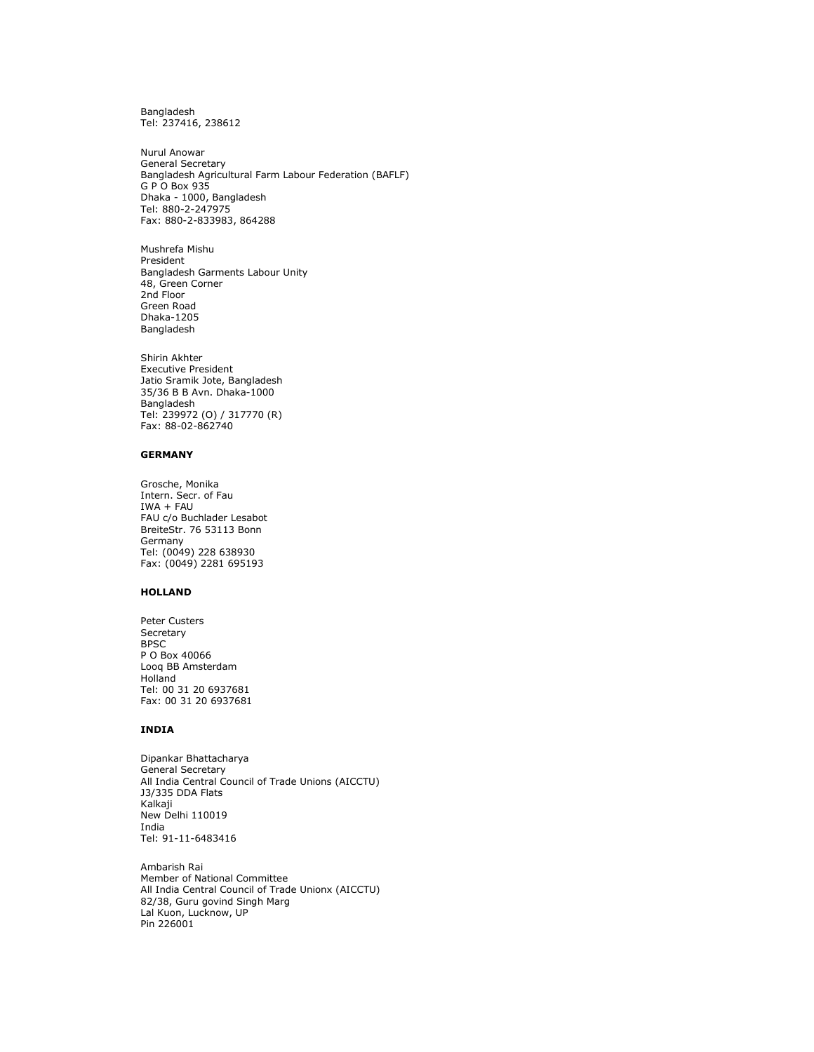Bangladesh Tel: 237416, 238612

Nurul Anowar General Secretary Bangladesh Agricultural Farm Labour Federation (BAFLF) G P O Box 935 Dhaka - 1000, Bangladesh Tel: 880-2-247975 Fax: 880-2-833983, 864288

Mushrefa Mishu President Bangladesh Garments Labour Unity 48, Green Corner 2nd Floor Green Road Dhaka-1205 Bangladesh

Shirin Akhter Executive President Jatio Sramik Jote, Bangladesh 35/36 B B Avn. Dhaka-1000 Bangladesh Tel: 239972 (O) / 317770 (R) Fax: 88-02-862740

#### GERMANY

Grosche, Monika Intern. Secr. of Fau IWA + FAU FAU c/o Buchlader Lesabot BreiteStr. 76 53113 Bonn Germany Tel: (0049) 228 638930 Fax: (0049) 2281 695193

#### HOLLAND

Peter Custers Secretary BPSC P O Box 40066 Looq BB Amsterdam Holland Tel: 00 31 20 6937681 Fax: 00 31 20 6937681

#### INDIA

Dipankar Bhattacharya General Secretary All India Central Council of Trade Unions (AICCTU) J3/335 DDA Flats Kalkaji New Delhi 110019 India Tel: 91-11-6483416

Ambarish Rai Member of National Committee All India Central Council of Trade Unionx (AICCTU) 82/38, Guru govind Singh Marg Lal Kuon, Lucknow, UP Pin 226001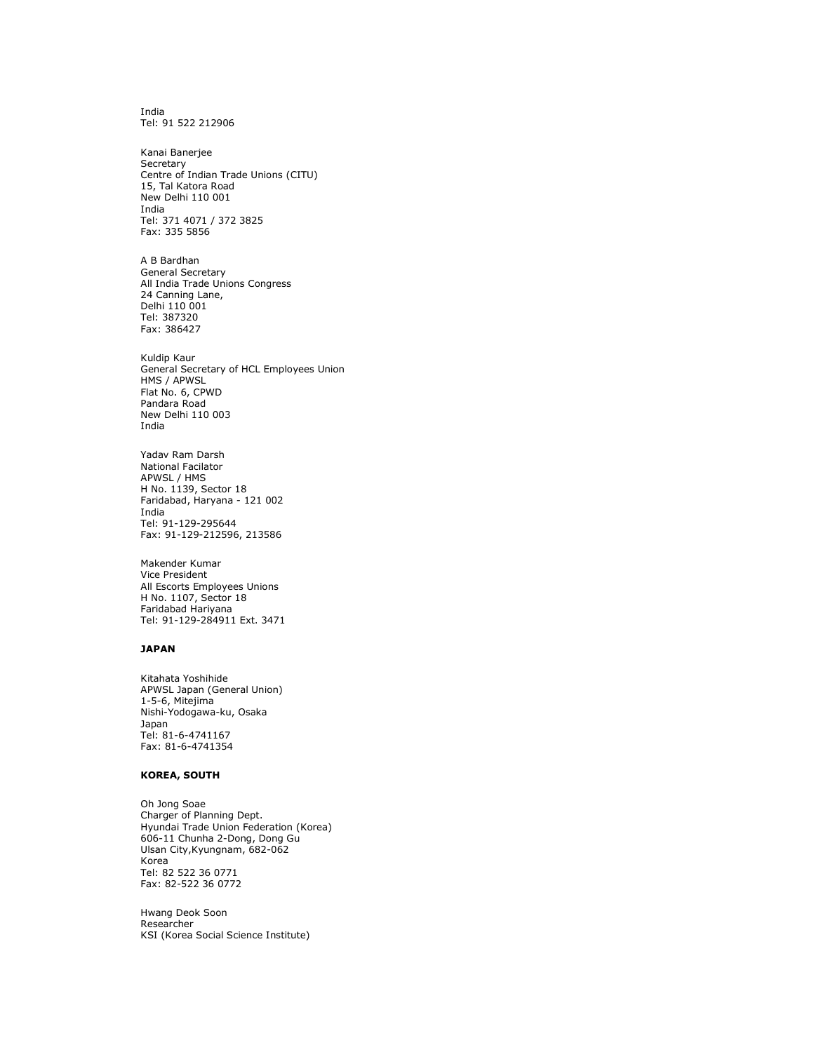India Tel: 91 522 212906

Kanai Banerjee Secretary Centre of Indian Trade Unions (CITU) 15, Tal Katora Road New Delhi 110 001 India Tel: 371 4071 / 372 3825 Fax: 335 5856

A B Bardhan General Secretary All India Trade Unions Congress 24 Canning Lane, Delhi 110 001 Tel: 387320 Fax: 386427

Kuldip Kaur General Secretary of HCL Employees Union HMS / APWSL Flat No. 6, CPWD Pandara Road New Delhi 110 003 India

Yadav Ram Darsh National Facilator APWSL / HMS H No. 1139, Sector 18 Faridabad, Haryana - 121 002 India Tel: 91-129-295644 Fax: 91-129-212596, 213586

Makender Kumar Vice President All Escorts Employees Unions H No. 1107, Sector 18 Faridabad Hariyana Tel: 91-129-284911 Ext. 3471

#### JAPAN

Kitahata Yoshihide APWSL Japan (General Union) 1-5-6, Mitejima Nishi-Yodogawa-ku, Osaka Japan Tel: 81-6-4741167 Fax: 81-6-4741354

#### KOREA, SOUTH

Oh Jong Soae Charger of Planning Dept. Hyundai Trade Union Federation (Korea) 606-11 Chunha 2-Dong, Dong Gu Ulsan City,Kyungnam, 682-062 Korea Tel: 82 522 36 0771 Fax: 82-522 36 0772

Hwang Deok Soon Researcher KSI (Korea Social Science Institute)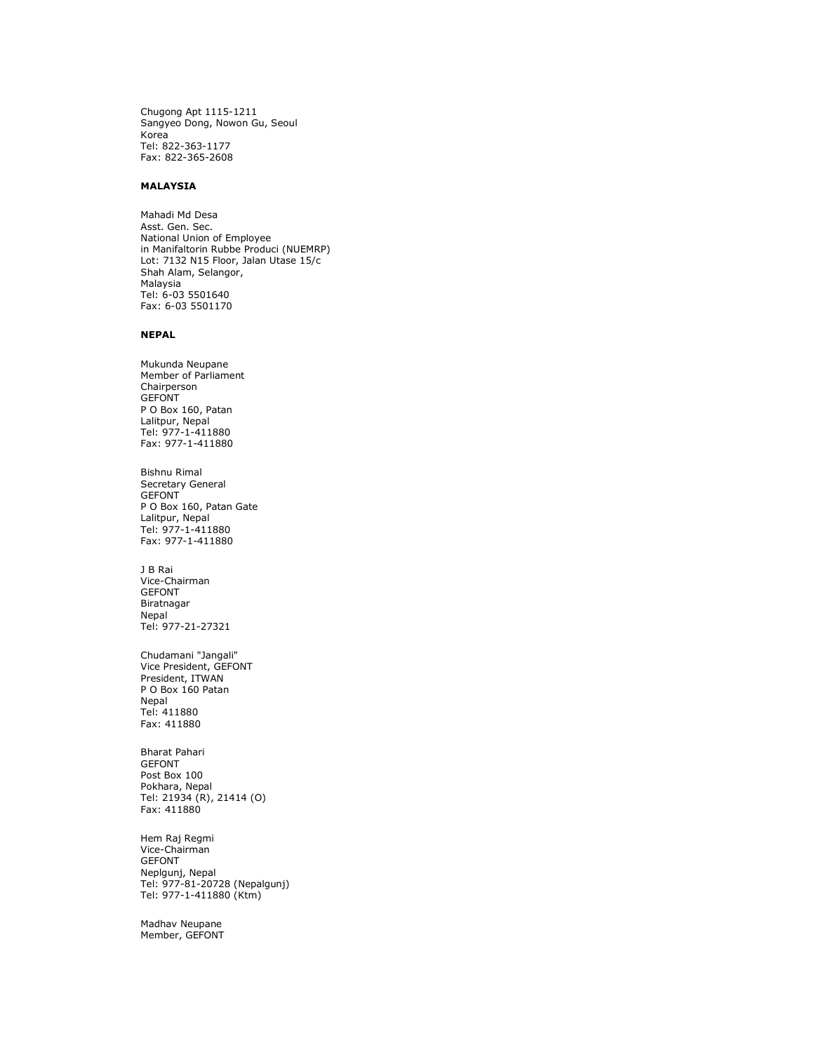Chugong Apt 1115-1211 Sangyeo Dong, Nowon Gu, Seoul Korea Tel: 822-363-1177 Fax: 822-365-2608

#### MALAYSIA

Mahadi Md Desa Asst. Gen. Sec. National Union of Employee in Manifaltorin Rubbe Produci (NUEMRP) Lot: 7132 N15 Floor, Jalan Utase 15/c Shah Alam, Selangor, Malaysia Tel: 6-03 5501640 Fax: 6-03 5501170

#### NEPAL

Mukunda Neupane Member of Parliament Chairperson **GEFONT** P O Box 160, Patan Lalitpur, Nepal Tel: 977-1-411880 Fax: 977-1-411880

Bishnu Rimal Secretary General GEFONT P O Box 160, Patan Gate Lalitpur, Nepal Tel: 977-1-411880 Fax: 977-1-411880

J B Rai Vice-Chairman GEFONT Biratnagar **Nepal** Tel: 977-21-27321

Chudamani "Jangali" Vice President, GEFONT President, ITWAN P O Box 160 Patan Nepal Tel: 411880 Fax: 411880

Bharat Pahari GEFONT Post Box 100 Pokhara, Nepal Tel: 21934 (R), 21414 (O) Fax: 411880

Hem Raj Regmi Vice-Chairman GEFONT Neplgunj, Nepal Tel: 977-81-20728 (Nepalgunj) Tel: 977-1-411880 (Ktm)

Madhav Neupane Member, GEFONT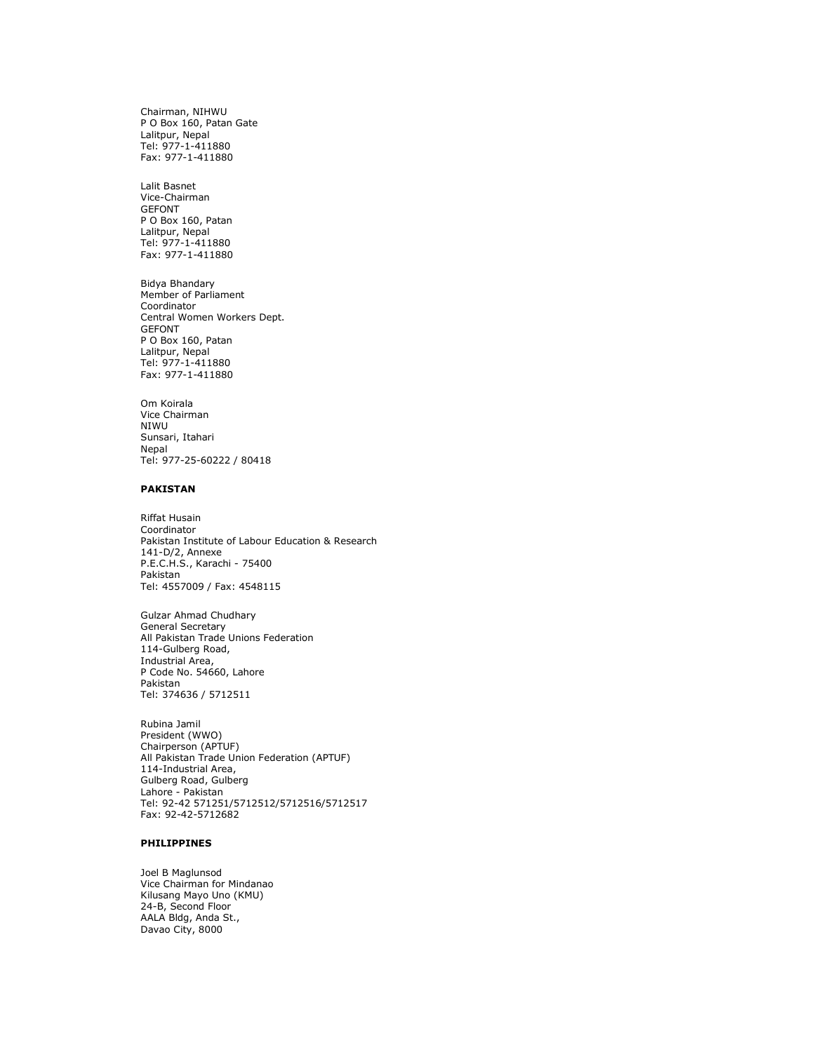Chairman, NIHWU P O Box 160, Patan Gate Lalitpur, Nepal Tel: 977-1-411880 Fax: 977-1-411880

Lalit Basnet Vice-Chairman GEFONT P O Box 160, Patan Lalitpur, Nepal Tel: 977-1-411880 Fax: 977-1-411880

Bidya Bhandary Member of Parliament Coordinator Central Women Workers Dept. GEFONT P O Box 160, Patan Lalitpur, Nepal Tel: 977-1-411880 Fax: 977-1-411880

Om Koirala Vice Chairman NIWU Sunsari, Itahari Nepal Tel: 977-25-60222 / 80418

#### PAKISTAN

Riffat Husain Coordinator Pakistan Institute of Labour Education & Research 141-D/2, Annexe P.E.C.H.S., Karachi - 75400 Pakistan Tel: 4557009 / Fax: 4548115

Gulzar Ahmad Chudhary General Secretary All Pakistan Trade Unions Federation 114-Gulberg Road, Industrial Area, P Code No. 54660, Lahore Pakistan Tel: 374636 / 5712511

Rubina Jamil President (WWO) Chairperson (APTUF) All Pakistan Trade Union Federation (APTUF) 114-Industrial Area, Gulberg Road, Gulberg Lahore - Pakistan Tel: 92-42 571251/5712512/5712516/5712517 Fax: 92-42-5712682

#### PHILIPPINES

Joel B Maglunsod Vice Chairman for Mindanao Kilusang Mayo Uno (KMU) 24-B, Second Floor AALA Bldg, Anda St., Davao City, 8000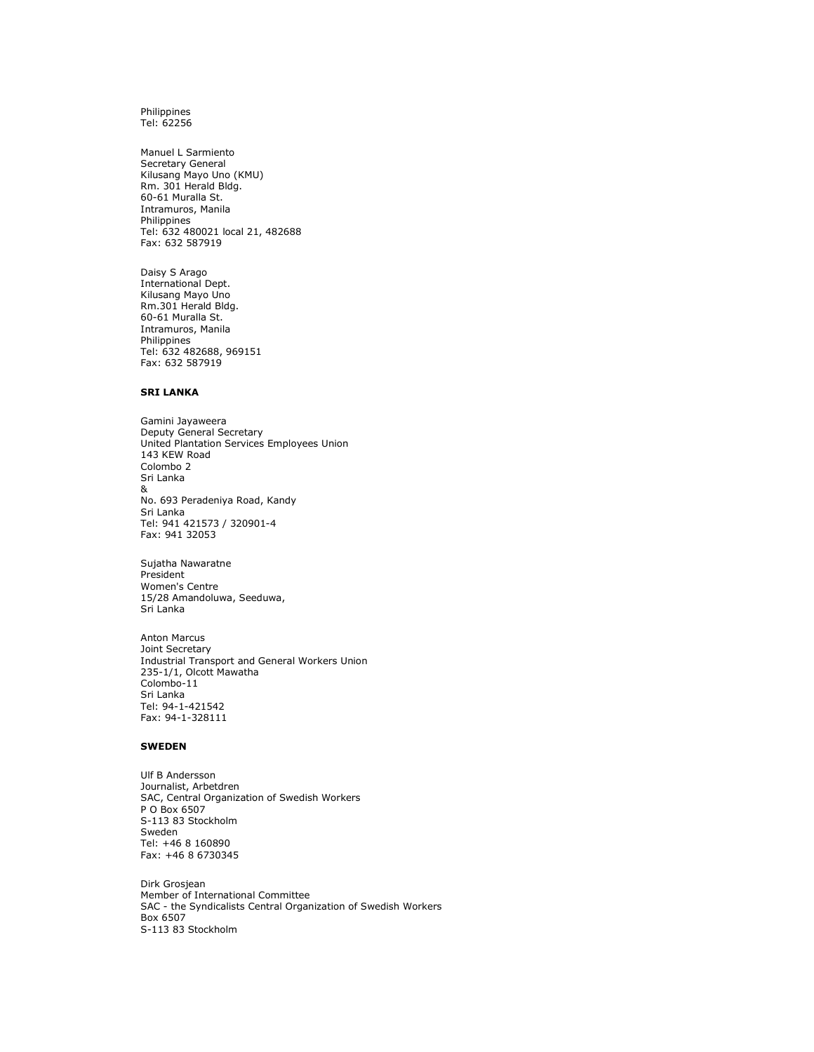Philippines Tel: 62256

Manuel L Sarmiento Secretary General Kilusang Mayo Uno (KMU) Rm. 301 Herald Bldg. 60-61 Muralla St. Intramuros, Manila Philippines Tel: 632 480021 local 21, 482688 Fax: 632 587919

Daisy S Arago International Dept. Kilusang Mayo Uno Rm.301 Herald Bldg. 60-61 Muralla St. Intramuros, Manila Philippines Tel: 632 482688, 969151 Fax: 632 587919

#### SRI LANKA

Gamini Jayaweera Deputy General Secretary United Plantation Services Employees Union 143 KEW Road Colombo 2 Sri Lanka & No. 693 Peradeniya Road, Kandy Sri Lanka Tel: 941 421573 / 320901-4 Fax: 941 32053

Sujatha Nawaratne President Women's Centre 15/28 Amandoluwa, Seeduwa, Sri Lanka

Anton Marcus Joint Secretary Industrial Transport and General Workers Union 235-1/1, Olcott Mawatha Colombo-11 Sri Lanka Tel: 94-1-421542 Fax: 94-1-328111

#### SWEDEN

Ulf B Andersson Journalist, Arbetdren SAC, Central Organization of Swedish Workers P O Box 6507 S-113 83 Stockholm Sweden Tel: +46 8 160890 Fax: +46 8 6730345

Dirk Grosjean Member of International Committee SAC - the Syndicalists Central Organization of Swedish Workers Box 6507 S-113 83 Stockholm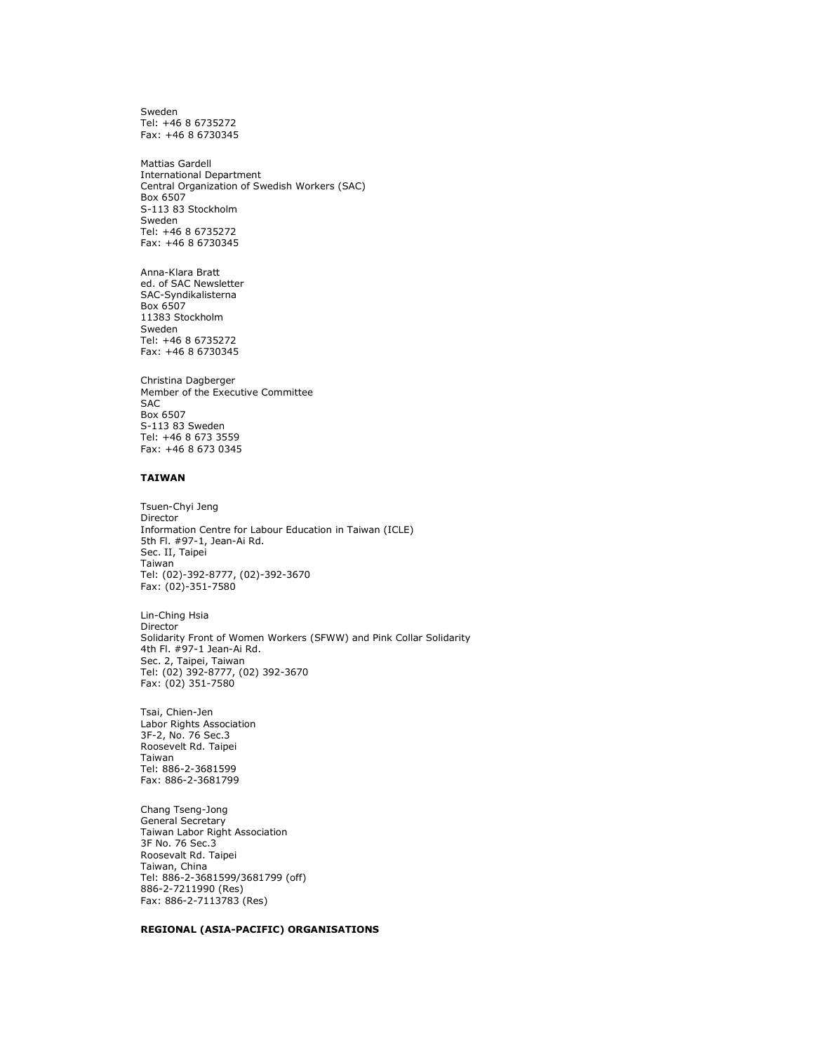Sweden Tel: +46 8 6735272 Fax: +46 8 6730345

Mattias Gardell International Department Central Organization of Swedish Workers (SAC) Box 6507 S-113 83 Stockholm Sweden Tel: +46 8 6735272 Fax: +46 8 6730345

Anna-Klara Bratt ed. of SAC Newsletter SAC-Syndikalisterna Box 6507 11383 Stockholm Sweden Tel: +46 8 6735272 Fax: +46 8 6730345

Christina Dagberger Member of the Executive Committee SAC Box 6507 S-113 83 Sweden Tel: +46 8 673 3559 Fax: +46 8 673 0345

#### TAIWAN

Tsuen-Chyi Jeng Director Information Centre for Labour Education in Taiwan (ICLE) 5th Fl. #97-1, Jean-Ai Rd. Sec. II, Taipei Taiwan Tel: (02)-392-8777, (02)-392-3670 Fax: (02)-351-7580

Lin-Ching Hsia Director Solidarity Front of Women Workers (SFWW) and Pink Collar Solidarity 4th Fl. #97-1 Jean-Ai Rd. Sec. 2, Taipei, Taiwan Tel: (02) 392-8777, (02) 392-3670 Fax: (02) 351-7580

Tsai, Chien-Jen Labor Rights Association 3F-2, No. 76 Sec.3 Roosevelt Rd. Taipei Taiwan Tel: 886-2-3681599 Fax: 886-2-3681799

Chang Tseng-Jong General Secretary Taiwan Labor Right Association 3F No. 76 Sec.3 Roosevalt Rd. Taipei Taiwan, China Tel: 886-2-3681599/3681799 (off) 886-2-7211990 (Res) Fax: 886-2-7113783 (Res)

#### REGIONAL (ASIA-PACIFIC) ORGANISATIONS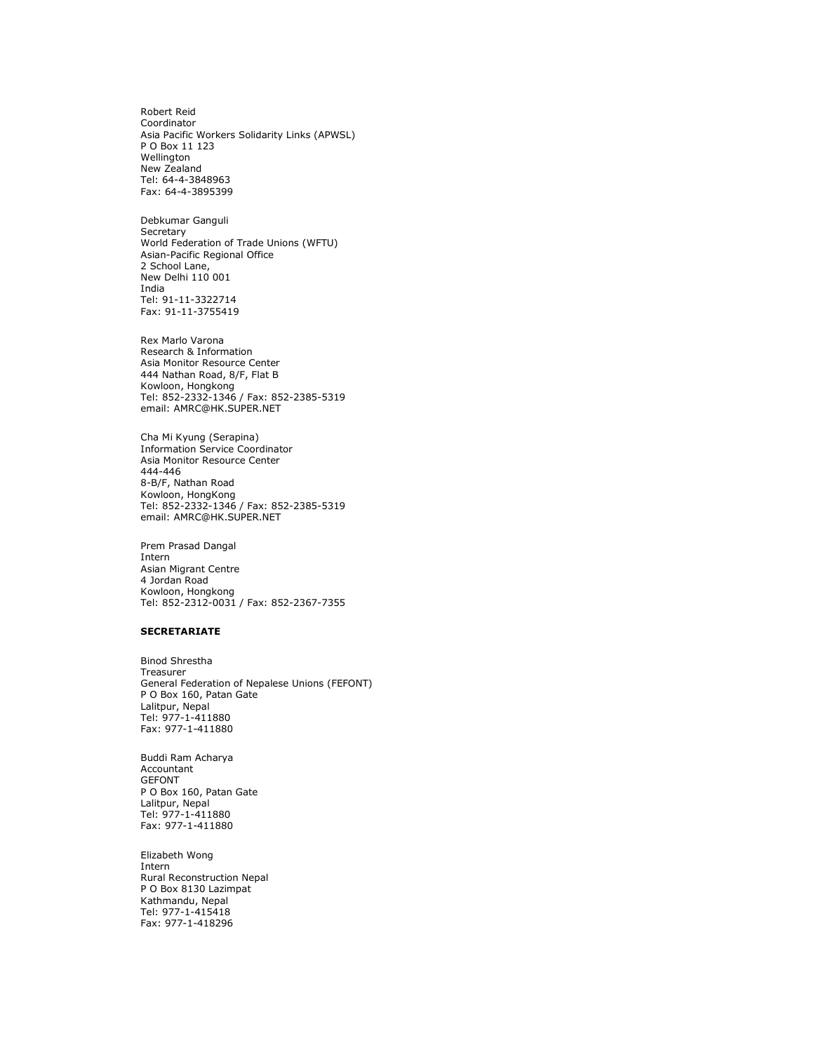Robert Reid Coordinator Asia Pacific Workers Solidarity Links (APWSL) P O Box 11 123 Wellington New Zealand Tel: 64-4-3848963 Fax: 64-4-3895399

Debkumar Ganguli **Secretary** World Federation of Trade Unions (WFTU) Asian-Pacific Regional Office 2 School Lane, New Delhi 110 001 India Tel: 91-11-3322714 Fax: 91-11-3755419

Rex Marlo Varona Research & Information Asia Monitor Resource Center 444 Nathan Road, 8/F, Flat B Kowloon, Hongkong Tel: 852-2332-1346 / Fax: 852-2385-5319 email: AMRC@HK.SUPER.NET

Cha Mi Kyung (Serapina) Information Service Coordinator Asia Monitor Resource Center 444-446 8-B/F, Nathan Road Kowloon, HongKong Tel: 852-2332-1346 / Fax: 852-2385-5319 email: AMRC@HK.SUPER.NET

Prem Prasad Dangal Intern Asian Migrant Centre 4 Jordan Road Kowloon, Hongkong Tel: 852-2312-0031 / Fax: 852-2367-7355

#### **SECRETARIATE**

Binod Shrestha Treasurer General Federation of Nepalese Unions (FEFONT) P O Box 160, Patan Gate Lalitpur, Nepal Tel: 977-1-411880 Fax: 977-1-411880

Buddi Ram Acharya Accountant GEFONT P O Box 160, Patan Gate Lalitpur, Nepal Tel: 977-1-411880 Fax: 977-1-411880

Elizabeth Wong Intern Rural Reconstruction Nepal P O Box 8130 Lazimpat Kathmandu, Nepal Tel: 977-1-415418 Fax: 977-1-418296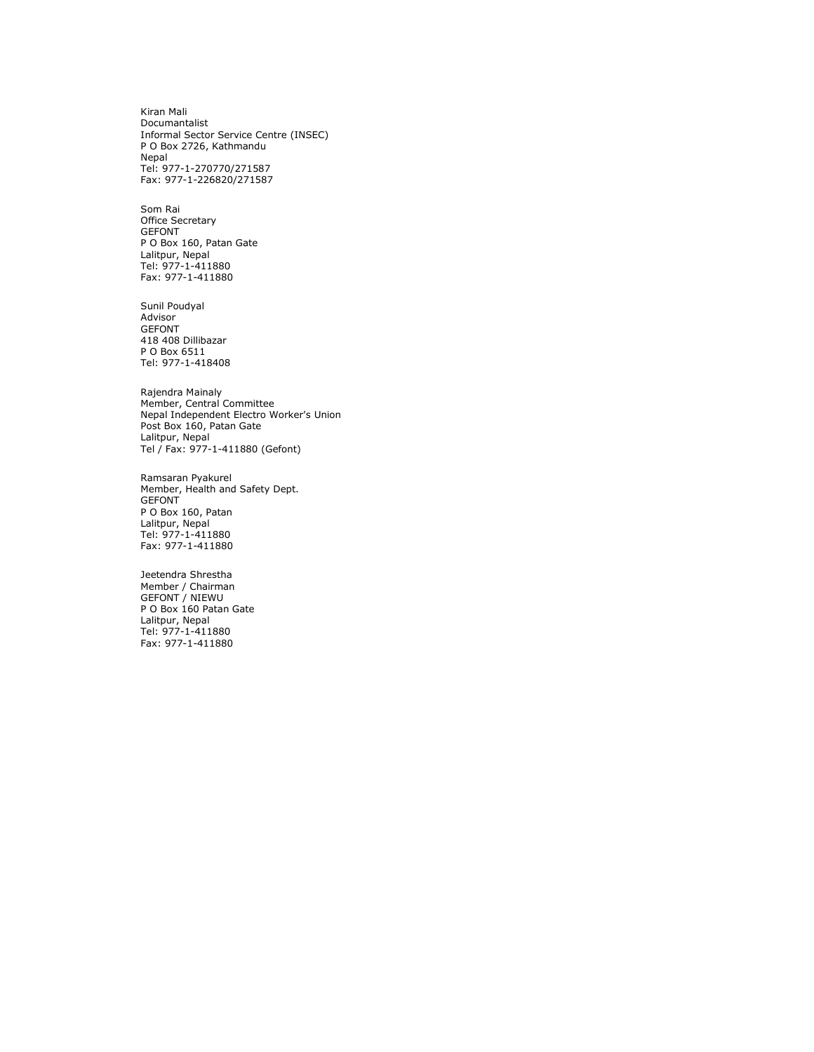Kiran Mali Documantalist Informal Sector Service Centre (INSEC) P O Box 2726, Kathmandu Nepal Tel: 977-1-270770/271587 Fax: 977-1-226820/271587

Som Rai Office Secretary GEFONT P O Box 160, Patan Gate Lalitpur, Nepal Tel: 977-1-411880 Fax: 977-1-411880

Sunil Poudyal Advisor GEFONT 418 408 Dillibazar P O Box 6511 Tel: 977-1-418408

Rajendra Mainaly Member, Central Committee Nepal Independent Electro Worker's Union Post Box 160, Patan Gate Lalitpur, Nepal Tel / Fax: 977-1-411880 (Gefont)

Ramsaran Pyakurel Member, Health and Safety Dept. GEFONT P O Box 160, Patan Lalitpur, Nepal Tel: 977-1-411880 Fax: 977-1-411880

Jeetendra Shrestha Member / Chairman GEFONT / NIEWU P O Box 160 Patan Gate Lalitpur, Nepal Tel: 977-1-411880 Fax: 977-1-411880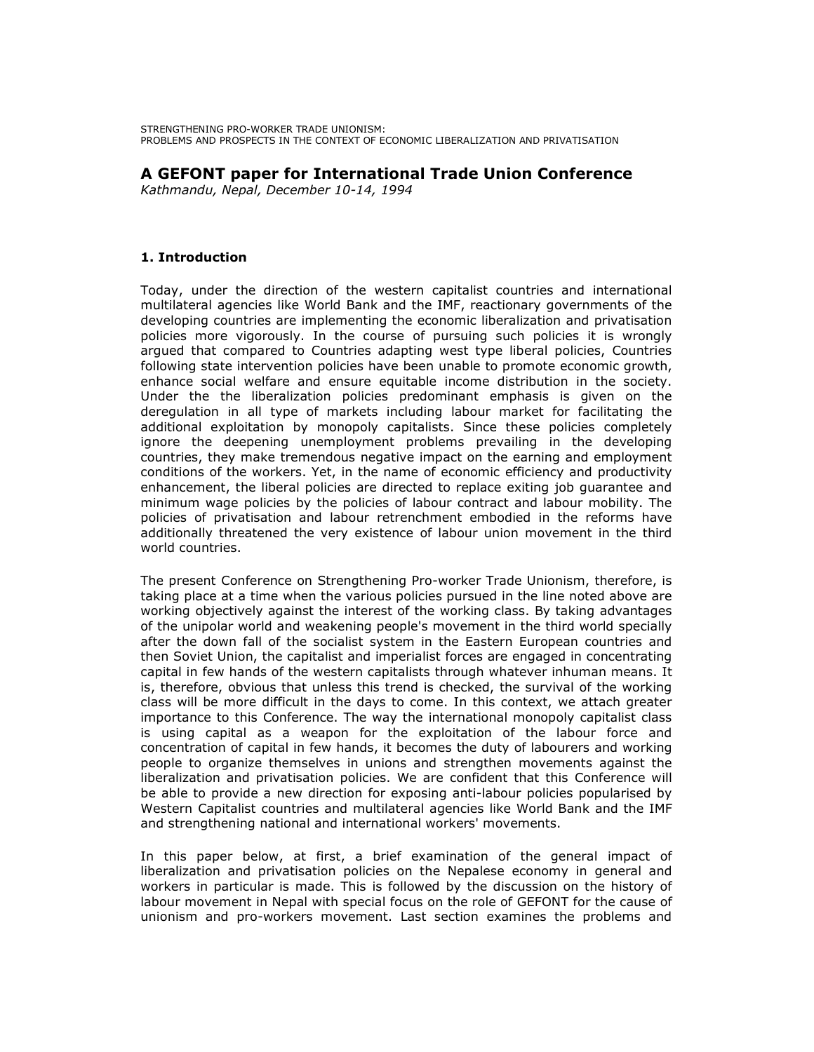STRENGTHENING PRO-WORKER TRADE UNIONISM: PROBLEMS AND PROSPECTS IN THE CONTEXT OF ECONOMIC LIBERALIZATION AND PRIVATISATION

## A GEFONT paper for International Trade Union Conference

Kathmandu, Nepal, December 10-14, 1994

## 1. Introduction

Today, under the direction of the western capitalist countries and international multilateral agencies like World Bank and the IMF, reactionary governments of the developing countries are implementing the economic liberalization and privatisation policies more vigorously. In the course of pursuing such policies it is wrongly argued that compared to Countries adapting west type liberal policies, Countries following state intervention policies have been unable to promote economic growth, enhance social welfare and ensure equitable income distribution in the society. Under the the liberalization policies predominant emphasis is given on the deregulation in all type of markets including labour market for facilitating the additional exploitation by monopoly capitalists. Since these policies completely ignore the deepening unemployment problems prevailing in the developing countries, they make tremendous negative impact on the earning and employment conditions of the workers. Yet, in the name of economic efficiency and productivity enhancement, the liberal policies are directed to replace exiting job guarantee and minimum wage policies by the policies of labour contract and labour mobility. The policies of privatisation and labour retrenchment embodied in the reforms have additionally threatened the very existence of labour union movement in the third world countries.

The present Conference on Strengthening Pro-worker Trade Unionism, therefore, is taking place at a time when the various policies pursued in the line noted above are working objectively against the interest of the working class. By taking advantages of the unipolar world and weakening people's movement in the third world specially after the down fall of the socialist system in the Eastern European countries and then Soviet Union, the capitalist and imperialist forces are engaged in concentrating capital in few hands of the western capitalists through whatever inhuman means. It is, therefore, obvious that unless this trend is checked, the survival of the working class will be more difficult in the days to come. In this context, we attach greater importance to this Conference. The way the international monopoly capitalist class is using capital as a weapon for the exploitation of the labour force and concentration of capital in few hands, it becomes the duty of labourers and working people to organize themselves in unions and strengthen movements against the liberalization and privatisation policies. We are confident that this Conference will be able to provide a new direction for exposing anti-labour policies popularised by Western Capitalist countries and multilateral agencies like World Bank and the IMF and strengthening national and international workers' movements.

In this paper below, at first, a brief examination of the general impact of liberalization and privatisation policies on the Nepalese economy in general and workers in particular is made. This is followed by the discussion on the history of labour movement in Nepal with special focus on the role of GEFONT for the cause of unionism and pro-workers movement. Last section examines the problems and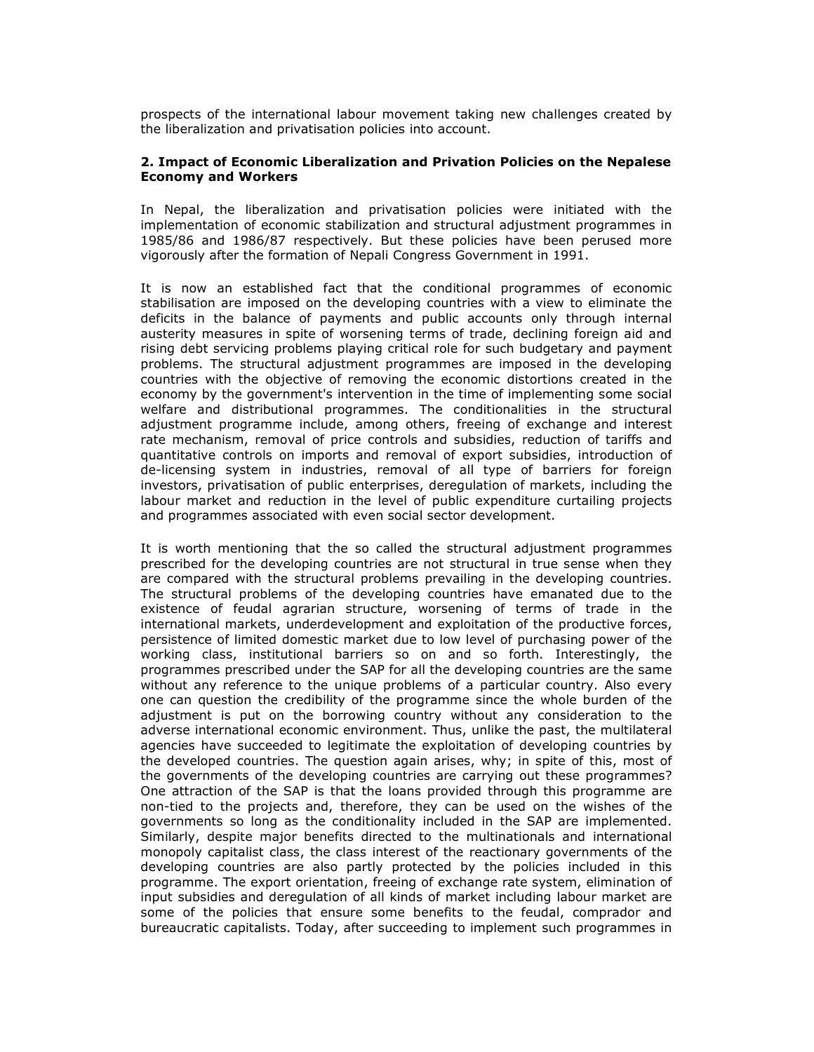prospects of the international labour movement taking new challenges created by the liberalization and privatisation policies into account.

## 2. Impact of Economic Liberalization and Privation Policies on the Nepalese Economy and Workers

In Nepal, the liberalization and privatisation policies were initiated with the implementation of economic stabilization and structural adjustment programmes in 1985/86 and 1986/87 respectively. But these policies have been perused more vigorously after the formation of Nepali Congress Government in 1991.

It is now an established fact that the conditional programmes of economic stabilisation are imposed on the developing countries with a view to eliminate the deficits in the balance of payments and public accounts only through internal austerity measures in spite of worsening terms of trade, declining foreign aid and rising debt servicing problems playing critical role for such budgetary and payment problems. The structural adjustment programmes are imposed in the developing countries with the objective of removing the economic distortions created in the economy by the government's intervention in the time of implementing some social welfare and distributional programmes. The conditionalities in the structural adjustment programme include, among others, freeing of exchange and interest rate mechanism, removal of price controls and subsidies, reduction of tariffs and quantitative controls on imports and removal of export subsidies, introduction of de-licensing system in industries, removal of all type of barriers for foreign investors, privatisation of public enterprises, deregulation of markets, including the labour market and reduction in the level of public expenditure curtailing projects and programmes associated with even social sector development.

It is worth mentioning that the so called the structural adjustment programmes prescribed for the developing countries are not structural in true sense when they are compared with the structural problems prevailing in the developing countries. The structural problems of the developing countries have emanated due to the existence of feudal agrarian structure, worsening of terms of trade in the international markets, underdevelopment and exploitation of the productive forces, persistence of limited domestic market due to low level of purchasing power of the working class, institutional barriers so on and so forth. Interestingly, the programmes prescribed under the SAP for all the developing countries are the same without any reference to the unique problems of a particular country. Also every one can question the credibility of the programme since the whole burden of the adjustment is put on the borrowing country without any consideration to the adverse international economic environment. Thus, unlike the past, the multilateral agencies have succeeded to legitimate the exploitation of developing countries by the developed countries. The question again arises, why; in spite of this, most of the governments of the developing countries are carrying out these programmes? One attraction of the SAP is that the loans provided through this programme are non-tied to the projects and, therefore, they can be used on the wishes of the governments so long as the conditionality included in the SAP are implemented. Similarly, despite major benefits directed to the multinationals and international monopoly capitalist class, the class interest of the reactionary governments of the developing countries are also partly protected by the policies included in this programme. The export orientation, freeing of exchange rate system, elimination of input subsidies and deregulation of all kinds of market including labour market are some of the policies that ensure some benefits to the feudal, comprador and bureaucratic capitalists. Today, after succeeding to implement such programmes in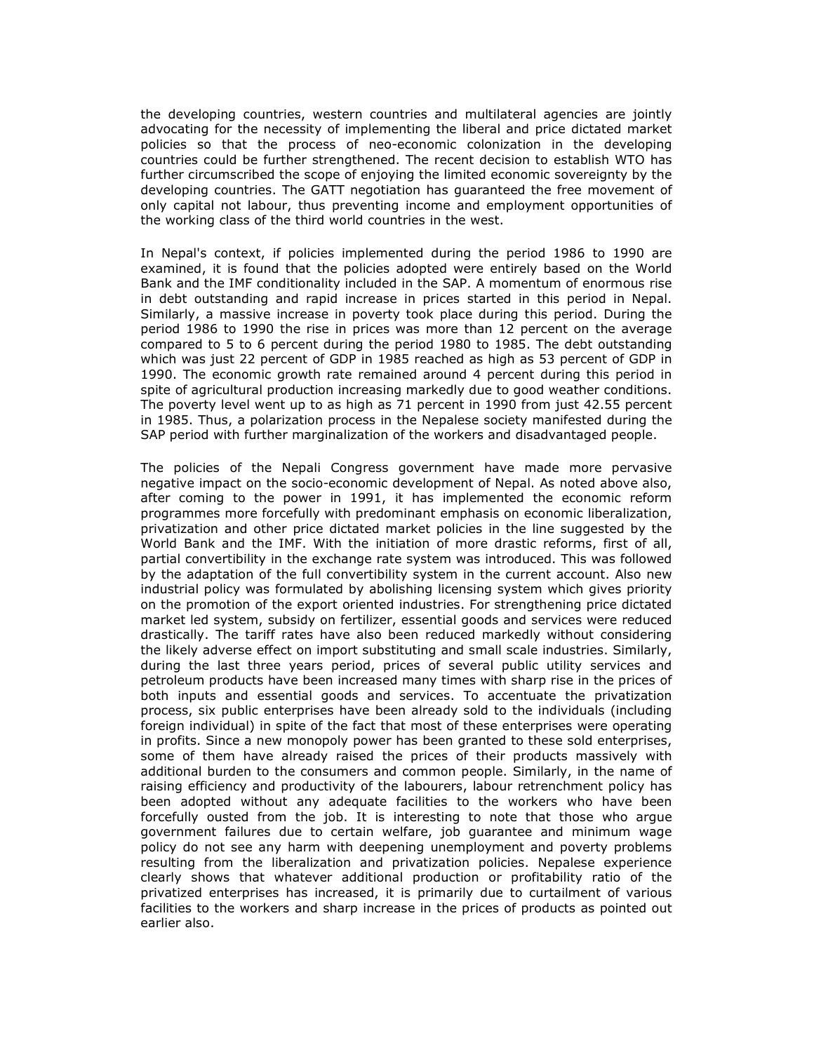the developing countries, western countries and multilateral agencies are jointly advocating for the necessity of implementing the liberal and price dictated market policies so that the process of neo-economic colonization in the developing countries could be further strengthened. The recent decision to establish WTO has further circumscribed the scope of enjoying the limited economic sovereignty by the developing countries. The GATT negotiation has guaranteed the free movement of only capital not labour, thus preventing income and employment opportunities of the working class of the third world countries in the west.

In Nepal's context, if policies implemented during the period 1986 to 1990 are examined, it is found that the policies adopted were entirely based on the World Bank and the IMF conditionality included in the SAP. A momentum of enormous rise in debt outstanding and rapid increase in prices started in this period in Nepal. Similarly, a massive increase in poverty took place during this period. During the period 1986 to 1990 the rise in prices was more than 12 percent on the average compared to 5 to 6 percent during the period 1980 to 1985. The debt outstanding which was just 22 percent of GDP in 1985 reached as high as 53 percent of GDP in 1990. The economic growth rate remained around 4 percent during this period in spite of agricultural production increasing markedly due to good weather conditions. The poverty level went up to as high as 71 percent in 1990 from just 42.55 percent in 1985. Thus, a polarization process in the Nepalese society manifested during the SAP period with further marginalization of the workers and disadvantaged people.

The policies of the Nepali Congress government have made more pervasive negative impact on the socio-economic development of Nepal. As noted above also, after coming to the power in 1991, it has implemented the economic reform programmes more forcefully with predominant emphasis on economic liberalization, privatization and other price dictated market policies in the line suggested by the World Bank and the IMF. With the initiation of more drastic reforms, first of all, partial convertibility in the exchange rate system was introduced. This was followed by the adaptation of the full convertibility system in the current account. Also new industrial policy was formulated by abolishing licensing system which gives priority on the promotion of the export oriented industries. For strengthening price dictated market led system, subsidy on fertilizer, essential goods and services were reduced drastically. The tariff rates have also been reduced markedly without considering the likely adverse effect on import substituting and small scale industries. Similarly, during the last three years period, prices of several public utility services and petroleum products have been increased many times with sharp rise in the prices of both inputs and essential goods and services. To accentuate the privatization process, six public enterprises have been already sold to the individuals (including foreign individual) in spite of the fact that most of these enterprises were operating in profits. Since a new monopoly power has been granted to these sold enterprises, some of them have already raised the prices of their products massively with additional burden to the consumers and common people. Similarly, in the name of raising efficiency and productivity of the labourers, labour retrenchment policy has been adopted without any adequate facilities to the workers who have been forcefully ousted from the job. It is interesting to note that those who argue government failures due to certain welfare, job guarantee and minimum wage policy do not see any harm with deepening unemployment and poverty problems resulting from the liberalization and privatization policies. Nepalese experience clearly shows that whatever additional production or profitability ratio of the privatized enterprises has increased, it is primarily due to curtailment of various facilities to the workers and sharp increase in the prices of products as pointed out earlier also.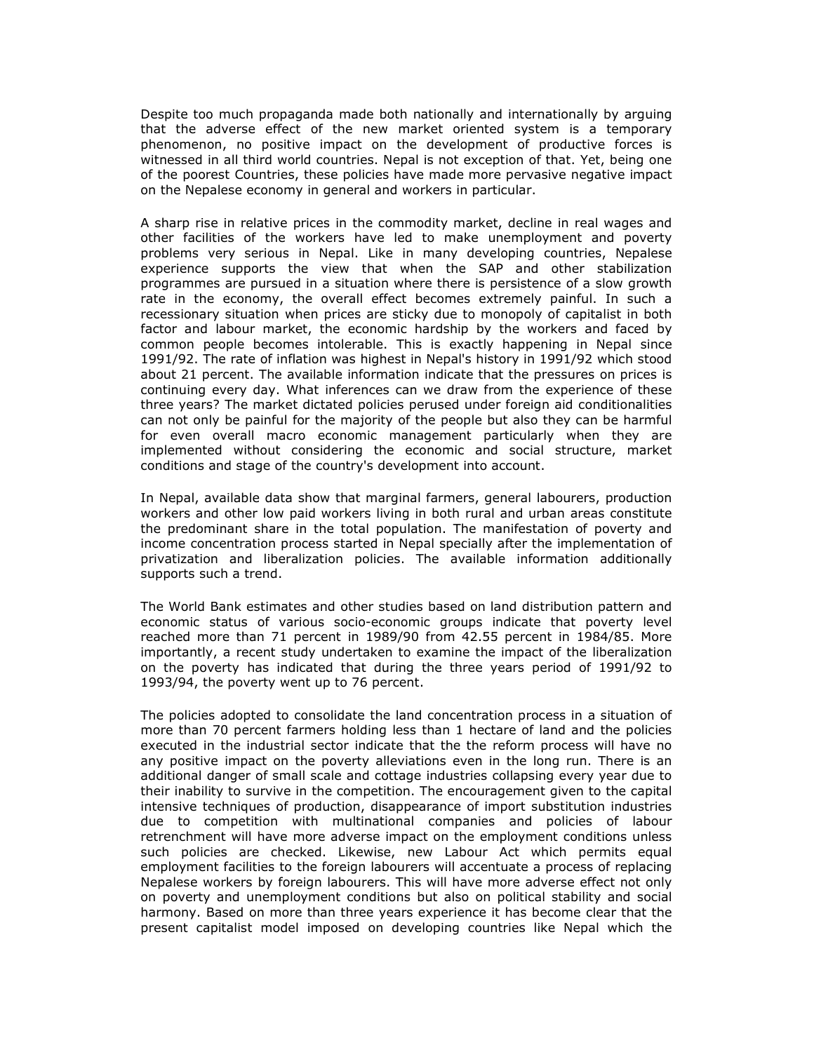Despite too much propaganda made both nationally and internationally by arguing that the adverse effect of the new market oriented system is a temporary phenomenon, no positive impact on the development of productive forces is witnessed in all third world countries. Nepal is not exception of that. Yet, being one of the poorest Countries, these policies have made more pervasive negative impact on the Nepalese economy in general and workers in particular.

A sharp rise in relative prices in the commodity market, decline in real wages and other facilities of the workers have led to make unemployment and poverty problems very serious in Nepal. Like in many developing countries, Nepalese experience supports the view that when the SAP and other stabilization programmes are pursued in a situation where there is persistence of a slow growth rate in the economy, the overall effect becomes extremely painful. In such a recessionary situation when prices are sticky due to monopoly of capitalist in both factor and labour market, the economic hardship by the workers and faced by common people becomes intolerable. This is exactly happening in Nepal since 1991/92. The rate of inflation was highest in Nepal's history in 1991/92 which stood about 21 percent. The available information indicate that the pressures on prices is continuing every day. What inferences can we draw from the experience of these three years? The market dictated policies perused under foreign aid conditionalities can not only be painful for the majority of the people but also they can be harmful for even overall macro economic management particularly when they are implemented without considering the economic and social structure, market conditions and stage of the country's development into account.

In Nepal, available data show that marginal farmers, general labourers, production workers and other low paid workers living in both rural and urban areas constitute the predominant share in the total population. The manifestation of poverty and income concentration process started in Nepal specially after the implementation of privatization and liberalization policies. The available information additionally supports such a trend.

The World Bank estimates and other studies based on land distribution pattern and economic status of various socio-economic groups indicate that poverty level reached more than 71 percent in 1989/90 from 42.55 percent in 1984/85. More importantly, a recent study undertaken to examine the impact of the liberalization on the poverty has indicated that during the three years period of 1991/92 to 1993/94, the poverty went up to 76 percent.

The policies adopted to consolidate the land concentration process in a situation of more than 70 percent farmers holding less than 1 hectare of land and the policies executed in the industrial sector indicate that the the reform process will have no any positive impact on the poverty alleviations even in the long run. There is an additional danger of small scale and cottage industries collapsing every year due to their inability to survive in the competition. The encouragement given to the capital intensive techniques of production, disappearance of import substitution industries due to competition with multinational companies and policies of labour retrenchment will have more adverse impact on the employment conditions unless such policies are checked. Likewise, new Labour Act which permits equal employment facilities to the foreign labourers will accentuate a process of replacing Nepalese workers by foreign labourers. This will have more adverse effect not only on poverty and unemployment conditions but also on political stability and social harmony. Based on more than three years experience it has become clear that the present capitalist model imposed on developing countries like Nepal which the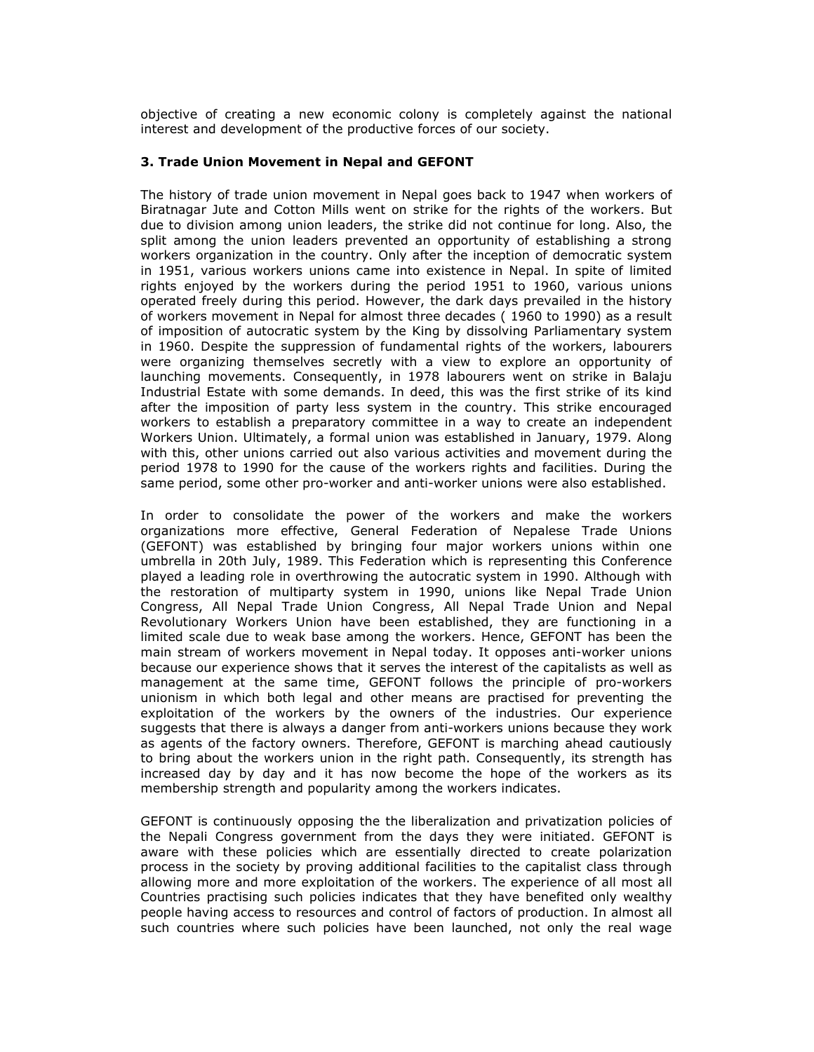objective of creating a new economic colony is completely against the national interest and development of the productive forces of our society.

### 3. Trade Union Movement in Nepal and GEFONT

The history of trade union movement in Nepal goes back to 1947 when workers of Biratnagar Jute and Cotton Mills went on strike for the rights of the workers. But due to division among union leaders, the strike did not continue for long. Also, the split among the union leaders prevented an opportunity of establishing a strong workers organization in the country. Only after the inception of democratic system in 1951, various workers unions came into existence in Nepal. In spite of limited rights enjoyed by the workers during the period 1951 to 1960, various unions operated freely during this period. However, the dark days prevailed in the history of workers movement in Nepal for almost three decades ( 1960 to 1990) as a result of imposition of autocratic system by the King by dissolving Parliamentary system in 1960. Despite the suppression of fundamental rights of the workers, labourers were organizing themselves secretly with a view to explore an opportunity of launching movements. Consequently, in 1978 labourers went on strike in Balaju Industrial Estate with some demands. In deed, this was the first strike of its kind after the imposition of party less system in the country. This strike encouraged workers to establish a preparatory committee in a way to create an independent Workers Union. Ultimately, a formal union was established in January, 1979. Along with this, other unions carried out also various activities and movement during the period 1978 to 1990 for the cause of the workers rights and facilities. During the same period, some other pro-worker and anti-worker unions were also established.

In order to consolidate the power of the workers and make the workers organizations more effective, General Federation of Nepalese Trade Unions (GEFONT) was established by bringing four major workers unions within one umbrella in 20th July, 1989. This Federation which is representing this Conference played a leading role in overthrowing the autocratic system in 1990. Although with the restoration of multiparty system in 1990, unions like Nepal Trade Union Congress, All Nepal Trade Union Congress, All Nepal Trade Union and Nepal Revolutionary Workers Union have been established, they are functioning in a limited scale due to weak base among the workers. Hence, GEFONT has been the main stream of workers movement in Nepal today. It opposes anti-worker unions because our experience shows that it serves the interest of the capitalists as well as management at the same time, GEFONT follows the principle of pro-workers unionism in which both legal and other means are practised for preventing the exploitation of the workers by the owners of the industries. Our experience suggests that there is always a danger from anti-workers unions because they work as agents of the factory owners. Therefore, GEFONT is marching ahead cautiously to bring about the workers union in the right path. Consequently, its strength has increased day by day and it has now become the hope of the workers as its membership strength and popularity among the workers indicates.

GEFONT is continuously opposing the the liberalization and privatization policies of the Nepali Congress government from the days they were initiated. GEFONT is aware with these policies which are essentially directed to create polarization process in the society by proving additional facilities to the capitalist class through allowing more and more exploitation of the workers. The experience of all most all Countries practising such policies indicates that they have benefited only wealthy people having access to resources and control of factors of production. In almost all such countries where such policies have been launched, not only the real wage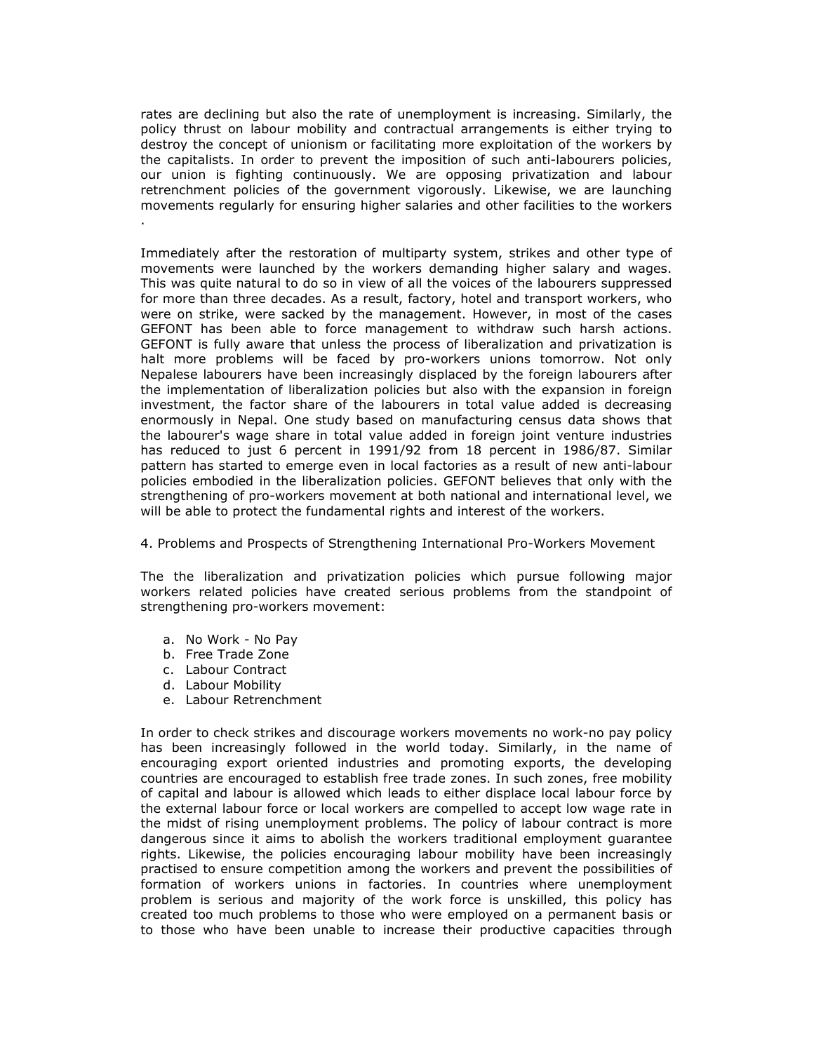rates are declining but also the rate of unemployment is increasing. Similarly, the policy thrust on labour mobility and contractual arrangements is either trying to destroy the concept of unionism or facilitating more exploitation of the workers by the capitalists. In order to prevent the imposition of such anti-labourers policies, our union is fighting continuously. We are opposing privatization and labour retrenchment policies of the government vigorously. Likewise, we are launching movements regularly for ensuring higher salaries and other facilities to the workers .

Immediately after the restoration of multiparty system, strikes and other type of movements were launched by the workers demanding higher salary and wages. This was quite natural to do so in view of all the voices of the labourers suppressed for more than three decades. As a result, factory, hotel and transport workers, who were on strike, were sacked by the management. However, in most of the cases GEFONT has been able to force management to withdraw such harsh actions. GEFONT is fully aware that unless the process of liberalization and privatization is halt more problems will be faced by pro-workers unions tomorrow. Not only Nepalese labourers have been increasingly displaced by the foreign labourers after the implementation of liberalization policies but also with the expansion in foreign investment, the factor share of the labourers in total value added is decreasing enormously in Nepal. One study based on manufacturing census data shows that the labourer's wage share in total value added in foreign joint venture industries has reduced to just 6 percent in 1991/92 from 18 percent in 1986/87. Similar pattern has started to emerge even in local factories as a result of new anti-labour policies embodied in the liberalization policies. GEFONT believes that only with the strengthening of pro-workers movement at both national and international level, we will be able to protect the fundamental rights and interest of the workers.

4. Problems and Prospects of Strengthening International Pro-Workers Movement

The the liberalization and privatization policies which pursue following major workers related policies have created serious problems from the standpoint of strengthening pro-workers movement:

- a. No Work No Pay
- b. Free Trade Zone
- c. Labour Contract
- d. Labour Mobility
- e. Labour Retrenchment

In order to check strikes and discourage workers movements no work-no pay policy has been increasingly followed in the world today. Similarly, in the name of encouraging export oriented industries and promoting exports, the developing countries are encouraged to establish free trade zones. In such zones, free mobility of capital and labour is allowed which leads to either displace local labour force by the external labour force or local workers are compelled to accept low wage rate in the midst of rising unemployment problems. The policy of labour contract is more dangerous since it aims to abolish the workers traditional employment guarantee rights. Likewise, the policies encouraging labour mobility have been increasingly practised to ensure competition among the workers and prevent the possibilities of formation of workers unions in factories. In countries where unemployment problem is serious and majority of the work force is unskilled, this policy has created too much problems to those who were employed on a permanent basis or to those who have been unable to increase their productive capacities through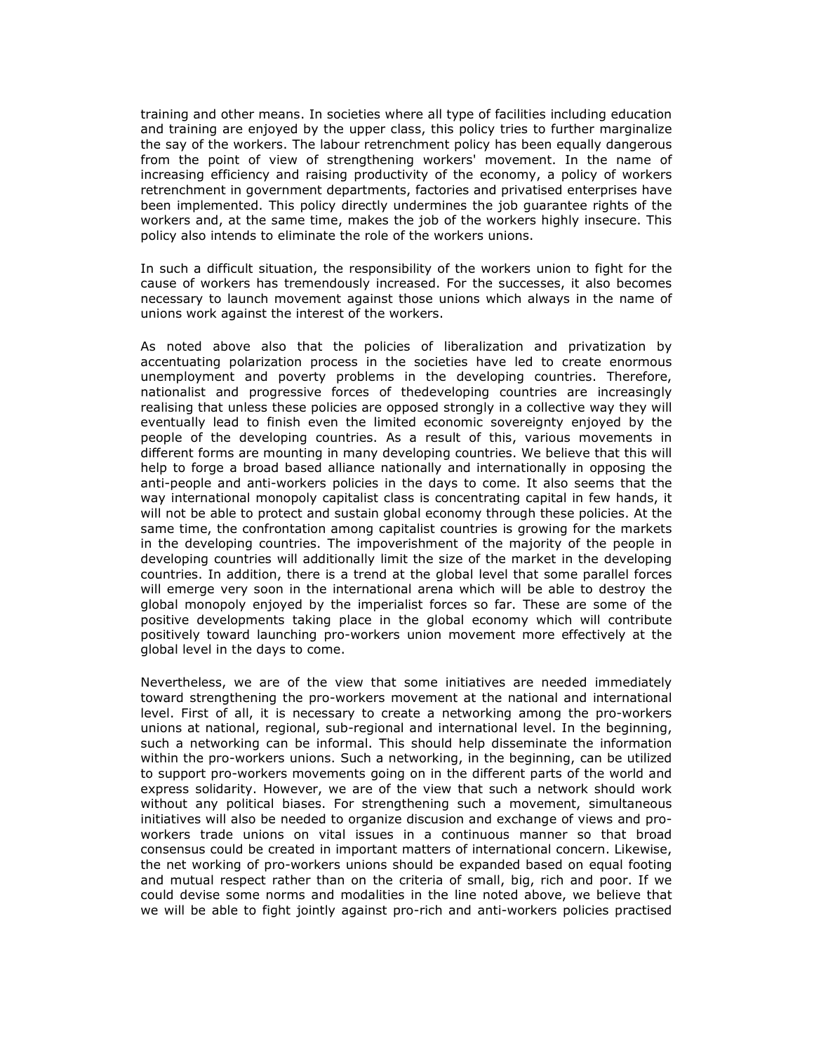training and other means. In societies where all type of facilities including education and training are enjoyed by the upper class, this policy tries to further marginalize the say of the workers. The labour retrenchment policy has been equally dangerous from the point of view of strengthening workers' movement. In the name of increasing efficiency and raising productivity of the economy, a policy of workers retrenchment in government departments, factories and privatised enterprises have been implemented. This policy directly undermines the job guarantee rights of the workers and, at the same time, makes the job of the workers highly insecure. This policy also intends to eliminate the role of the workers unions.

In such a difficult situation, the responsibility of the workers union to fight for the cause of workers has tremendously increased. For the successes, it also becomes necessary to launch movement against those unions which always in the name of unions work against the interest of the workers.

As noted above also that the policies of liberalization and privatization by accentuating polarization process in the societies have led to create enormous unemployment and poverty problems in the developing countries. Therefore, nationalist and progressive forces of thedeveloping countries are increasingly realising that unless these policies are opposed strongly in a collective way they will eventually lead to finish even the limited economic sovereignty enjoyed by the people of the developing countries. As a result of this, various movements in different forms are mounting in many developing countries. We believe that this will help to forge a broad based alliance nationally and internationally in opposing the anti-people and anti-workers policies in the days to come. It also seems that the way international monopoly capitalist class is concentrating capital in few hands, it will not be able to protect and sustain global economy through these policies. At the same time, the confrontation among capitalist countries is growing for the markets in the developing countries. The impoverishment of the majority of the people in developing countries will additionally limit the size of the market in the developing countries. In addition, there is a trend at the global level that some parallel forces will emerge very soon in the international arena which will be able to destroy the global monopoly enjoyed by the imperialist forces so far. These are some of the positive developments taking place in the global economy which will contribute positively toward launching pro-workers union movement more effectively at the global level in the days to come.

Nevertheless, we are of the view that some initiatives are needed immediately toward strengthening the pro-workers movement at the national and international level. First of all, it is necessary to create a networking among the pro-workers unions at national, regional, sub-regional and international level. In the beginning, such a networking can be informal. This should help disseminate the information within the pro-workers unions. Such a networking, in the beginning, can be utilized to support pro-workers movements going on in the different parts of the world and express solidarity. However, we are of the view that such a network should work without any political biases. For strengthening such a movement, simultaneous initiatives will also be needed to organize discusion and exchange of views and proworkers trade unions on vital issues in a continuous manner so that broad consensus could be created in important matters of international concern. Likewise, the net working of pro-workers unions should be expanded based on equal footing and mutual respect rather than on the criteria of small, big, rich and poor. If we could devise some norms and modalities in the line noted above, we believe that we will be able to fight jointly against pro-rich and anti-workers policies practised